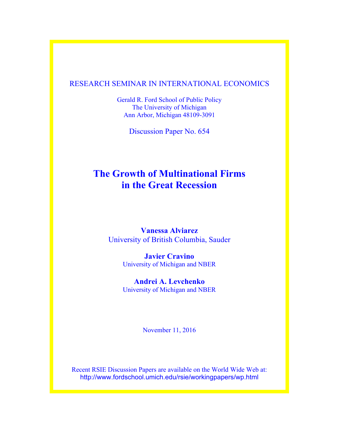## RESEARCH SEMINAR IN INTERNATIONAL ECONOMICS

Gerald R. Ford School of Public Policy The University of Michigan Ann Arbor, Michigan 48109-3091

Discussion Paper No. 654

# **The Growth of Multinational Firms in the Great Recession**

**Vanessa Alviarez**  University of British Columbia, Sauder

> **Javier Cravino** University of Michigan and NBER

> **Andrei A. Levchenko** University of Michigan and NBER

> > November 11, 2016

Recent RSIE Discussion Papers are available on the World Wide Web at: http://www.fordschool.umich.edu/rsie/workingpapers/wp.html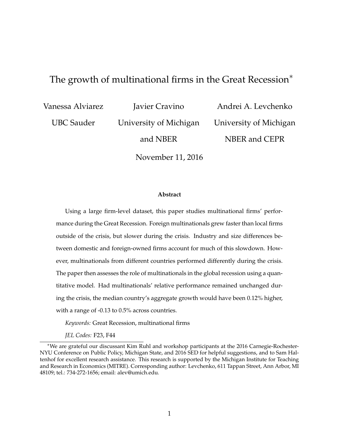# The growth of multinational firms in the Great Recession $*$

Vanessa Alviarez

UBC Sauder

Javier Cravino

University of Michigan

Andrei A. Levchenko University of Michigan NBER and CEPR

and NBER

November 11, 2016

#### **Abstract**

Using a large firm-level dataset, this paper studies multinational firms' performance during the Great Recession. Foreign multinationals grew faster than local firms outside of the crisis, but slower during the crisis. Industry and size differences between domestic and foreign-owned firms account for much of this slowdown. However, multinationals from different countries performed differently during the crisis. The paper then assesses the role of multinationals in the global recession using a quantitative model. Had multinationals' relative performance remained unchanged during the crisis, the median country's aggregate growth would have been 0.12% higher, with a range of -0.13 to 0.5% across countries.

*Keywords:* Great Recession, multinational firms

*JEL Codes:* F23, F44

<sup>⇤</sup>We are grateful our discussant Kim Ruhl and workshop participants at the 2016 Carnegie-Rochester-NYU Conference on Public Policy, Michigan State, and 2016 SED for helpful suggestions, and to Sam Haltenhof for excellent research assistance. This research is supported by the Michigan Institute for Teaching and Research in Economics (MITRE). Corresponding author: Levchenko, 611 Tappan Street, Ann Arbor, MI 48109; tel.: 734-272-1656; email: alev@umich.edu.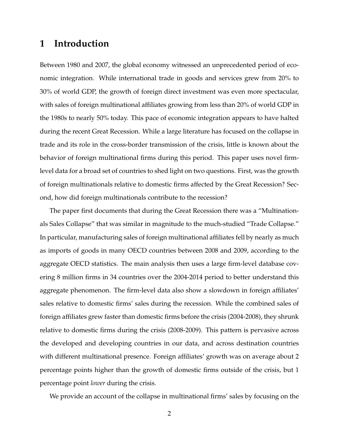# **1 Introduction**

Between 1980 and 2007, the global economy witnessed an unprecedented period of economic integration. While international trade in goods and services grew from 20% to 30% of world GDP, the growth of foreign direct investment was even more spectacular, with sales of foreign multinational affiliates growing from less than 20% of world GDP in the 1980s to nearly 50% today. This pace of economic integration appears to have halted during the recent Great Recession. While a large literature has focused on the collapse in trade and its role in the cross-border transmission of the crisis, little is known about the behavior of foreign multinational firms during this period. This paper uses novel firmlevel data for a broad set of countries to shed light on two questions. First, was the growth of foreign multinationals relative to domestic firms affected by the Great Recession? Second, how did foreign multinationals contribute to the recession?

The paper first documents that during the Great Recession there was a "Multinationals Sales Collapse" that was similar in magnitude to the much-studied "Trade Collapse." In particular, manufacturing sales of foreign multinational affiliates fell by nearly as much as imports of goods in many OECD countries between 2008 and 2009, according to the aggregate OECD statistics. The main analysis then uses a large firm-level database covering 8 million firms in 34 countries over the 2004-2014 period to better understand this aggregate phenomenon. The firm-level data also show a slowdown in foreign affiliates' sales relative to domestic firms' sales during the recession. While the combined sales of foreign affiliates grew faster than domestic firms before the crisis (2004-2008), they shrunk relative to domestic firms during the crisis (2008-2009). This pattern is pervasive across the developed and developing countries in our data, and across destination countries with different multinational presence. Foreign affiliates' growth was on average about 2 percentage points higher than the growth of domestic firms outside of the crisis, but 1 percentage point *lower* during the crisis.

We provide an account of the collapse in multinational firms' sales by focusing on the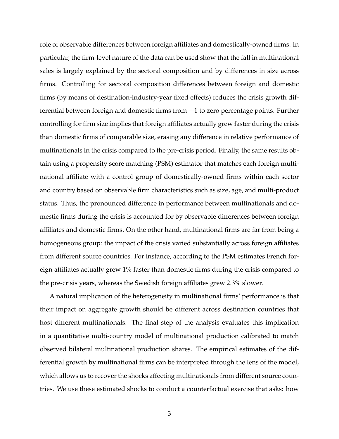role of observable differences between foreign affiliates and domestically-owned firms. In particular, the firm-level nature of the data can be used show that the fall in multinational sales is largely explained by the sectoral composition and by differences in size across firms. Controlling for sectoral composition differences between foreign and domestic firms (by means of destination-industry-year fixed effects) reduces the crisis growth differential between foreign and domestic firms from  $-1$  to zero percentage points. Further controlling for firm size implies that foreign affiliates actually grew faster during the crisis than domestic firms of comparable size, erasing any difference in relative performance of multinationals in the crisis compared to the pre-crisis period. Finally, the same results obtain using a propensity score matching (PSM) estimator that matches each foreign multinational affiliate with a control group of domestically-owned firms within each sector and country based on observable firm characteristics such as size, age, and multi-product status. Thus, the pronounced difference in performance between multinationals and domestic firms during the crisis is accounted for by observable differences between foreign affiliates and domestic firms. On the other hand, multinational firms are far from being a homogeneous group: the impact of the crisis varied substantially across foreign affiliates from different source countries. For instance, according to the PSM estimates French foreign affiliates actually grew 1% faster than domestic firms during the crisis compared to the pre-crisis years, whereas the Swedish foreign affiliates grew 2.3% slower.

A natural implication of the heterogeneity in multinational firms' performance is that their impact on aggregate growth should be different across destination countries that host different multinationals. The final step of the analysis evaluates this implication in a quantitative multi-country model of multinational production calibrated to match observed bilateral multinational production shares. The empirical estimates of the differential growth by multinational firms can be interpreted through the lens of the model, which allows us to recover the shocks affecting multinationals from different source countries. We use these estimated shocks to conduct a counterfactual exercise that asks: how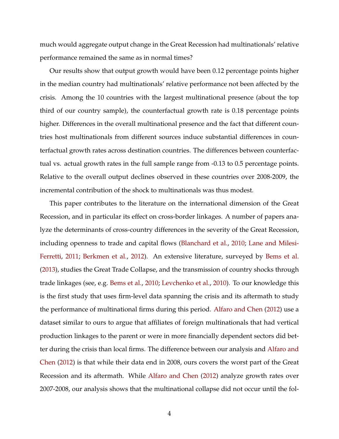much would aggregate output change in the Great Recession had multinationals' relative performance remained the same as in normal times?

Our results show that output growth would have been 0.12 percentage points higher in the median country had multinationals' relative performance not been affected by the crisis. Among the 10 countries with the largest multinational presence (about the top third of our country sample), the counterfactual growth rate is 0.18 percentage points higher. Differences in the overall multinational presence and the fact that different countries host multinationals from different sources induce substantial differences in counterfactual growth rates across destination countries. The differences between counterfactual vs. actual growth rates in the full sample range from -0.13 to 0.5 percentage points. Relative to the overall output declines observed in these countries over 2008-2009, the incremental contribution of the shock to multinationals was thus modest.

This paper contributes to the literature on the international dimension of the Great Recession, and in particular its effect on cross-border linkages. A number of papers analyze the determinants of cross-country differences in the severity of the Great Recession, including openness to trade and capital flows [\(Blanchard et al.,](#page-26-0) [2010;](#page-26-0) [Lane and Milesi-](#page-27-0)[Ferretti,](#page-27-0) [2011;](#page-27-0) [Berkmen et al.,](#page-26-1) [2012\)](#page-26-1). An extensive literature, surveyed by [Bems et al.](#page-26-2) [\(2013\)](#page-26-2), studies the Great Trade Collapse, and the transmission of country shocks through trade linkages (see, e.g. [Bems et al.,](#page-26-3) [2010;](#page-26-3) [Levchenko et al.,](#page-27-1) [2010\)](#page-27-1). To our knowledge this is the first study that uses firm-level data spanning the crisis and its aftermath to study the performance of multinational firms during this period. [Alfaro and Chen](#page-26-4) [\(2012\)](#page-26-4) use a dataset similar to ours to argue that affiliates of foreign multinationals that had vertical production linkages to the parent or were in more financially dependent sectors did better during the crisis than local firms. The difference between our analysis and [Alfaro and](#page-26-4) [Chen](#page-26-4) [\(2012\)](#page-26-4) is that while their data end in 2008, ours covers the worst part of the Great Recession and its aftermath. While [Alfaro and Chen](#page-26-4) [\(2012\)](#page-26-4) analyze growth rates over 2007-2008, our analysis shows that the multinational collapse did not occur until the fol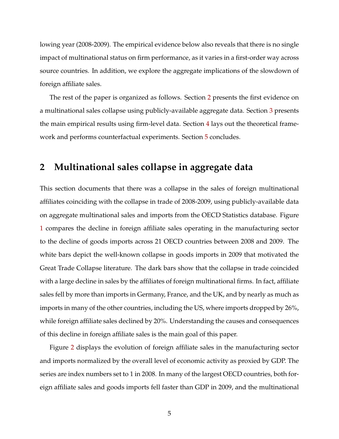lowing year (2008-2009). The empirical evidence below also reveals that there is no single impact of multinational status on firm performance, as it varies in a first-order way across source countries. In addition, we explore the aggregate implications of the slowdown of foreign affiliate sales.

The rest of the paper is organized as follows. Section [2](#page-5-0) presents the first evidence on a multinational sales collapse using publicly-available aggregate data. Section [3](#page-6-0) presents the main empirical results using firm-level data. Section [4](#page-17-0) lays out the theoretical framework and performs counterfactual experiments. Section [5](#page-25-0) concludes.

## <span id="page-5-0"></span>**2 Multinational sales collapse in aggregate data**

This section documents that there was a collapse in the sales of foreign multinational affiliates coinciding with the collapse in trade of 2008-2009, using publicly-available data on aggregate multinational sales and imports from the OECD Statistics database. Figure [1](#page-32-0) compares the decline in foreign affiliate sales operating in the manufacturing sector to the decline of goods imports across 21 OECD countries between 2008 and 2009. The white bars depict the well-known collapse in goods imports in 2009 that motivated the Great Trade Collapse literature. The dark bars show that the collapse in trade coincided with a large decline in sales by the affiliates of foreign multinational firms. In fact, affiliate sales fell by more than imports in Germany, France, and the UK, and by nearly as much as imports in many of the other countries, including the US, where imports dropped by 26%, while foreign affiliate sales declined by 20%. Understanding the causes and consequences of this decline in foreign affiliate sales is the main goal of this paper.

Figure [2](#page-33-0) displays the evolution of foreign affiliate sales in the manufacturing sector and imports normalized by the overall level of economic activity as proxied by GDP. The series are index numbers set to 1 in 2008. In many of the largest OECD countries, both foreign affiliate sales and goods imports fell faster than GDP in 2009, and the multinational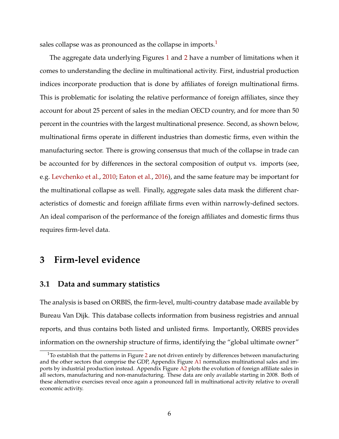sales collapse was as pronounced as the collapse in imports.<sup>1</sup>

The aggregate data underlying Figures [1](#page-32-0) and [2](#page-33-0) have a number of limitations when it comes to understanding the decline in multinational activity. First, industrial production indices incorporate production that is done by affiliates of foreign multinational firms. This is problematic for isolating the relative performance of foreign affiliates, since they account for about 25 percent of sales in the median OECD country, and for more than 50 percent in the countries with the largest multinational presence. Second, as shown below, multinational firms operate in different industries than domestic firms, even within the manufacturing sector. There is growing consensus that much of the collapse in trade can be accounted for by differences in the sectoral composition of output vs. imports (see, e.g. [Levchenko et al.,](#page-27-1) [2010;](#page-27-1) [Eaton et al.,](#page-27-2) [2016\)](#page-27-2), and the same feature may be important for the multinational collapse as well. Finally, aggregate sales data mask the different characteristics of domestic and foreign affiliate firms even within narrowly-defined sectors. An ideal comparison of the performance of the foreign affiliates and domestic firms thus requires firm-level data.

# <span id="page-6-0"></span>**3 Firm-level evidence**

### <span id="page-6-2"></span>**3.1 Data and summary statistics**

The analysis is based on ORBIS, the firm-level, multi-country database made available by Bureau Van Dijk. This database collects information from business registries and annual reports, and thus contains both listed and unlisted firms. Importantly, ORBIS provides information on the ownership structure of firms, identifying the "global ultimate owner"

<span id="page-6-1"></span> $1$ To establish that the patterns in Figure [2](#page-33-0) are not driven entirely by differences between manufacturing and the other sectors that comprise the GDP, Appendix Figure [A1](#page-44-0) normalizes multinational sales and imports by industrial production instead. Appendix Figure [A2](#page-45-0) plots the evolution of foreign affiliate sales in all sectors, manufacturing and non-manufacturing. These data are only available starting in 2008. Both of these alternative exercises reveal once again a pronounced fall in multinational activity relative to overall economic activity.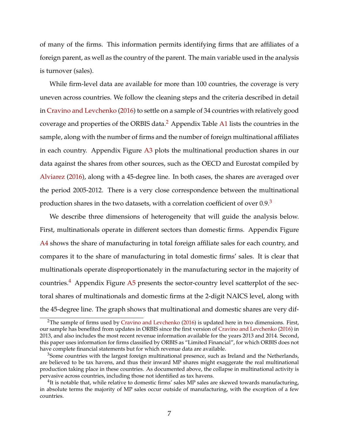of many of the firms. This information permits identifying firms that are affiliates of a foreign parent, as well as the country of the parent. The main variable used in the analysis is turnover (sales).

While firm-level data are available for more than 100 countries, the coverage is very uneven across countries. We follow the cleaning steps and the criteria described in detail in [Cravino and Levchenko](#page-27-3) [\(2016\)](#page-27-3) to settle on a sample of 34 countries with relatively good coverage and properties of the ORBIS data[.2](#page-7-0) Appendix Table [A1](#page-39-0) lists the countries in the sample, along with the number of firms and the number of foreign multinational affiliates in each country. Appendix Figure [A3](#page-46-0) plots the multinational production shares in our data against the shares from other sources, such as the OECD and Eurostat compiled by [Alviarez](#page-26-5) [\(2016\)](#page-26-5), along with a 45-degree line. In both cases, the shares are averaged over the period 2005-2012. There is a very close correspondence between the multinational production shares in the two datasets, with a correlation coefficient of over  $0.9<sup>3</sup>$ 

We describe three dimensions of heterogeneity that will guide the analysis below. First, multinationals operate in different sectors than domestic firms. Appendix Figure [A4](#page-47-0) shows the share of manufacturing in total foreign affiliate sales for each country, and compares it to the share of manufacturing in total domestic firms' sales. It is clear that multinationals operate disproportionately in the manufacturing sector in the majority of countries.<sup>4</sup> Appendix Figure [A5](#page-47-1) presents the sector-country level scatterplot of the sectoral shares of multinationals and domestic firms at the 2-digit NAICS level, along with the 45-degree line. The graph shows that multinational and domestic shares are very dif-

<span id="page-7-0"></span><sup>&</sup>lt;sup>2</sup>The sample of firms used by [Cravino and Levchenko](#page-27-3) [\(2016\)](#page-27-3) is updated here in two dimensions. First, our sample has benefited from updates in ORBIS since the first version of [Cravino and Levchenko](#page-27-3) [\(2016\)](#page-27-3) in 2013, and also includes the most recent revenue information available for the years 2013 and 2014. Second, this paper uses information for firms classified by ORBIS as "Limited Financial", for which ORBIS does not have complete financial statements but for which revenue data are available.

<span id="page-7-1"></span><sup>&</sup>lt;sup>3</sup>Some countries with the largest foreign multinational presence, such as Ireland and the Netherlands, are believed to be tax havens, and thus their inward MP shares might exaggerate the real multinational production taking place in these countries. As documented above, the collapse in multinational activity is pervasive across countries, including those not identified as tax havens.

<span id="page-7-2"></span> $^{4}$ It is notable that, while relative to domestic firms' sales MP sales are skewed towards manufacturing, in absolute terms the majority of MP sales occur outside of manufacturing, with the exception of a few countries.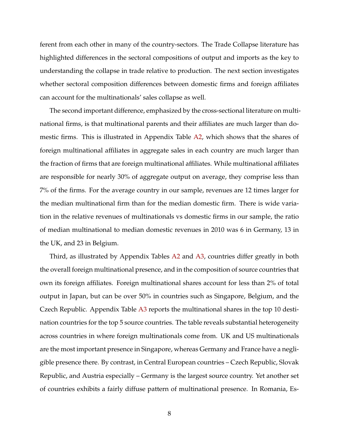ferent from each other in many of the country-sectors. The Trade Collapse literature has highlighted differences in the sectoral compositions of output and imports as the key to understanding the collapse in trade relative to production. The next section investigates whether sectoral composition differences between domestic firms and foreign affiliates can account for the multinationals' sales collapse as well.

The second important difference, emphasized by the cross-sectional literature on multinational firms, is that multinational parents and their affiliates are much larger than domestic firms. This is illustrated in Appendix Table [A2,](#page-40-0) which shows that the shares of foreign multinational affiliates in aggregate sales in each country are much larger than the fraction of firms that are foreign multinational affiliates. While multinational affiliates are responsible for nearly 30% of aggregate output on average, they comprise less than 7% of the firms. For the average country in our sample, revenues are 12 times larger for the median multinational firm than for the median domestic firm. There is wide variation in the relative revenues of multinationals vs domestic firms in our sample, the ratio of median multinational to median domestic revenues in 2010 was 6 in Germany, 13 in the UK, and 23 in Belgium.

Third, as illustrated by Appendix Tables [A2](#page-40-0) and [A3,](#page-40-1) countries differ greatly in both the overall foreign multinational presence, and in the composition of source countries that own its foreign affiliates. Foreign multinational shares account for less than 2% of total output in Japan, but can be over 50% in countries such as Singapore, Belgium, and the Czech Republic. Appendix Table [A3](#page-40-1) reports the multinational shares in the top 10 destination countries for the top 5 source countries. The table reveals substantial heterogeneity across countries in where foreign multinationals come from. UK and US multinationals are the most important presence in Singapore, whereas Germany and France have a negligible presence there. By contrast, in Central European countries – Czech Republic, Slovak Republic, and Austria especially – Germany is the largest source country. Yet another set of countries exhibits a fairly diffuse pattern of multinational presence. In Romania, Es-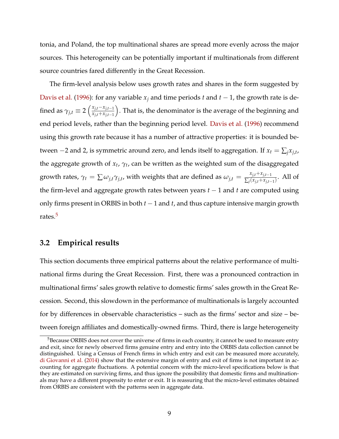tonia, and Poland, the top multinational shares are spread more evenly across the major sources. This heterogeneity can be potentially important if multinationals from different source countries fared differently in the Great Recession.

The firm-level analysis below uses growth rates and shares in the form suggested by [Davis et al.](#page-27-4) [\(1996\)](#page-27-4): for any variable  $x_i$  and time periods *t* and  $t - 1$ , the growth rate is defined as  $\gamma_{j,t} \equiv 2 \left( \frac{x_{j,t} - x_{j,t-1}}{x_{j,t} + x_{j,t-1}} \right)$  $\overline{x_{j,t}+x_{j,t-1}}$ ⌘ . That is, the denominator is the average of the beginning and end period levels, rather than the beginning period level. [Davis et al.](#page-27-4) [\(1996\)](#page-27-4) recommend using this growth rate because it has a number of attractive properties: it is bounded between  $-2$  and 2, is symmetric around zero, and lends itself to aggregation. If  $x_t = \sum_j x_{j,t}$ , the aggregate growth of  $x_t$ ,  $\gamma_t$ , can be written as the weighted sum of the disaggregated growth rates,  $\gamma_t = \sum \omega_{j,t} \gamma_{j,t}$ , with weights that are defined as  $\omega_{j,t} = \frac{x_{j,t} + x_{j,t-1}}{\sum_j (x_{j,t} + x_{j,t-1})}$ . All of the firm-level and aggregate growth rates between years  $t-1$  and  $t$  are computed using only firms present in ORBIS in both  $t-1$  and  $t$ , and thus capture intensive margin growth rates.<sup>5</sup>

### <span id="page-9-1"></span>**3.2 Empirical results**

This section documents three empirical patterns about the relative performance of multinational firms during the Great Recession. First, there was a pronounced contraction in multinational firms' sales growth relative to domestic firms' sales growth in the Great Recession. Second, this slowdown in the performance of multinationals is largely accounted for by differences in observable characteristics – such as the firms' sector and size – between foreign affiliates and domestically-owned firms. Third, there is large heterogeneity

<span id="page-9-0"></span><sup>&</sup>lt;sup>5</sup>Because ORBIS does not cover the universe of firms in each country, it cannot be used to measure entry and exit, since for newly observed firms genuine entry and entry into the ORBIS data collection cannot be distinguished. Using a Census of French firms in which entry and exit can be measured more accurately, [di Giovanni et al.](#page-27-5) [\(2014\)](#page-27-5) show that the extensive margin of entry and exit of firms is not important in accounting for aggregate fluctuations. A potential concern with the micro-level specifications below is that they are estimated on surviving firms, and thus ignore the possibility that domestic firms and multinationals may have a different propensity to enter or exit. It is reassuring that the micro-level estimates obtained from ORBIS are consistent with the patterns seen in aggregate data.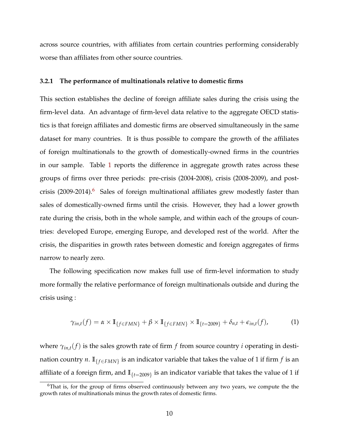across source countries, with affiliates from certain countries performing considerably worse than affiliates from other source countries.

### **3.2.1 The performance of multinationals relative to domestic firms**

This section establishes the decline of foreign affiliate sales during the crisis using the firm-level data. An advantage of firm-level data relative to the aggregate OECD statistics is that foreign affiliates and domestic firms are observed simultaneously in the same dataset for many countries. It is thus possible to compare the growth of the affiliates of foreign multinationals to the growth of domestically-owned firms in the countries in our sample. Table [1](#page-29-0) reports the difference in aggregate growth rates across these groups of firms over three periods: pre-crisis (2004-2008), crisis (2008-2009), and post-crisis (2009-2014).<sup>[6](#page-10-0)</sup> Sales of foreign multinational affiliates grew modestly faster than sales of domestically-owned firms until the crisis. However, they had a lower growth rate during the crisis, both in the whole sample, and within each of the groups of countries: developed Europe, emerging Europe, and developed rest of the world. After the crisis, the disparities in growth rates between domestic and foreign aggregates of firms narrow to nearly zero.

The following specification now makes full use of firm-level information to study more formally the relative performance of foreign multinationals outside and during the crisis using :

<span id="page-10-1"></span>
$$
\gamma_{in,t}(f) = \alpha \times \mathbb{I}_{\{f \in FMN\}} + \beta \times \mathbb{I}_{\{f \in FMN\}} \times \mathbb{I}_{\{t=2009\}} + \delta_{n,t} + \epsilon_{in,t}(f), \tag{1}
$$

where  $\gamma_{in,t}(f)$  is the sales growth rate of firm  $f$  from source country  $i$  operating in destination country *n*.  $\mathbb{I}_{f \in FMN}$  is an indicator variable that takes the value of 1 if firm *f* is an affiliate of a foreign firm, and  $\mathbb{I}_{\{t=2009\}}$  is an indicator variable that takes the value of 1 if

<span id="page-10-0"></span><sup>&</sup>lt;sup>6</sup>That is, for the group of firms observed continuously between any two years, we compute the the growth rates of multinationals minus the growth rates of domestic firms.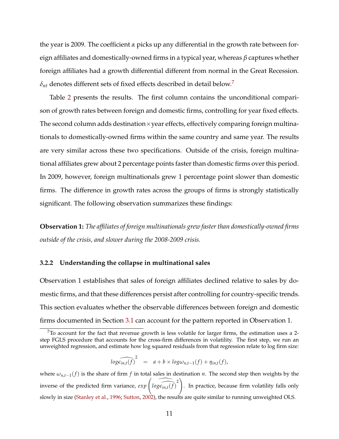the year is 2009. The coefficient *a* picks up any differential in the growth rate between foreign affiliates and domestically-owned firms in a typical year, whereas  $\beta$  captures whether foreign affiliates had a growth differential different from normal in the Great Recession.  $\delta_{nt}$  denotes different sets of fixed effects described in detail below.<sup>7</sup>

Table [2](#page-29-1) presents the results. The first column contains the unconditional comparison of growth rates between foreign and domestic firms, controlling for year fixed effects. The second column adds destination  $\times$  year effects, effectively comparing foreign multinationals to domestically-owned firms within the same country and same year. The results are very similar across these two specifications. Outside of the crisis, foreign multinational affiliates grew about 2 percentage points faster than domestic firms over this period. In 2009, however, foreign multinationals grew 1 percentage point slower than domestic firms. The difference in growth rates across the groups of firms is strongly statistically significant. The following observation summarizes these findings:

**Observation 1:** *The affiliates of foreign multinationals grew faster than domestically-owned firms outside of the crisis, and slower during the 2008-2009 crisis.*

#### **3.2.2 Understanding the collapse in multinational sales**

Observation 1 establishes that sales of foreign affiliates declined relative to sales by domestic firms, and that these differences persist after controlling for country-specific trends. This section evaluates whether the observable differences between foreign and domestic firms documented in Section [3.1](#page-6-2) can account for the pattern reported in Observation 1.

$$
\widehat{\log \epsilon_{in,t}(f)}^2 = a + b \times \log \omega_{n,t-1}(f) + \eta_{in,t}(f),
$$

<span id="page-11-0"></span> $7$ To account for the fact that revenue growth is less volatile for larger firms, the estimation uses a 2step FGLS procedure that accounts for the cross-firm differences in volatility. The first step, we run an unweighted regression, and estimate how log squared residuals from that regression relate to log firm size:

where  $\omega_{n,t-1}(f)$  is the share of firm f in total sales in destination *n*. The second step then weights by the inverse of the predicted firm variance,  $exp\left(i\widehat{\text{log}e_{in,t}(f)}^2\right)$ . In practice, because firm volatility falls only slowly in size [\(Stanley et al.,](#page-28-0) [1996;](#page-28-0) [Sutton,](#page-28-1) [2002\)](#page-28-1), the results are quite similar to running unweighted OLS.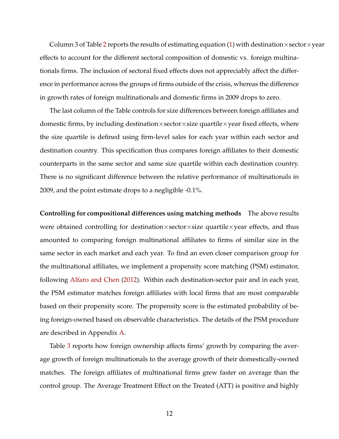Column 3 of Table [2](#page-29-1) reports the results of estimating equation [\(1\)](#page-10-1) with destination×sector×year effects to account for the different sectoral composition of domestic vs. foreign multinationals firms. The inclusion of sectoral fixed effects does not appreciably affect the difference in performance across the groups of firms outside of the crisis, whereas the difference in growth rates of foreign multinationals and domestic firms in 2009 drops to zero.

The last column of the Table controls for size differences between foreign affiliates and domestic firms, by including destination $\times$ sector $\times$ size quartile $\times$ year fixed effects, where the size quartile is defined using firm-level sales for each year within each sector and destination country. This specification thus compares foreign affiliates to their domestic counterparts in the same sector and same size quartile within each destination country. There is no significant difference between the relative performance of multinationals in 2009, and the point estimate drops to a negligible -0.1%.

**Controlling for compositional differences using matching methods** The above results were obtained controlling for destination $\times$ sector $\times$ size quartile $\times$ year effects, and thus amounted to comparing foreign multinational affiliates to firms of similar size in the same sector in each market and each year. To find an even closer comparison group for the multinational affiliates, we implement a propensity score matching (PSM) estimator, following [Alfaro and Chen](#page-26-4) [\(2012\)](#page-26-4). Within each destination-sector pair and in each year, the PSM estimator matches foreign affiliates with local firms that are most comparable based on their propensity score. The propensity score is the estimated probability of being foreign-owned based on observable characteristics. The details of the PSM procedure are described in Appendix [A.](#page-37-0)

Table [3](#page-30-0) reports how foreign ownership affects firms' growth by comparing the average growth of foreign multinationals to the average growth of their domestically-owned matches. The foreign affiliates of multinational firms grew faster on average than the control group. The Average Treatment Effect on the Treated (ATT) is positive and highly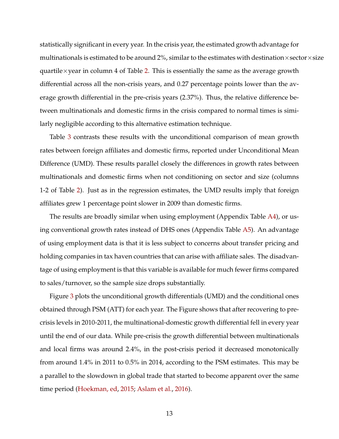statistically significant in every year. In the crisis year, the estimated growth advantage for multinationals is estimated to be around 2%, similar to the estimates with destination  $\times$  sector $\times$ size quartile $\times$ year in column 4 of Table [2.](#page-29-1) This is essentially the same as the average growth differential across all the non-crisis years, and 0.27 percentage points lower than the average growth differential in the pre-crisis years (2.37%). Thus, the relative difference between multinationals and domestic firms in the crisis compared to normal times is similarly negligible according to this alternative estimation technique.

Table [3](#page-30-0) contrasts these results with the unconditional comparison of mean growth rates between foreign affiliates and domestic firms, reported under Unconditional Mean Difference (UMD). These results parallel closely the differences in growth rates between multinationals and domestic firms when not conditioning on sector and size (columns 1-2 of Table [2\)](#page-29-1). Just as in the regression estimates, the UMD results imply that foreign affiliates grew 1 percentage point slower in 2009 than domestic firms.

The results are broadly similar when using employment (Appendix Table [A4\)](#page-41-0), or using conventional growth rates instead of DHS ones (Appendix Table [A5\)](#page-42-0). An advantage of using employment data is that it is less subject to concerns about transfer pricing and holding companies in tax haven countries that can arise with affiliate sales. The disadvantage of using employment is that this variable is available for much fewer firms compared to sales/turnover, so the sample size drops substantially.

Figure [3](#page-34-0) plots the unconditional growth differentials (UMD) and the conditional ones obtained through PSM (ATT) for each year. The Figure shows that after recovering to precrisis levels in 2010-2011, the multinational-domestic growth differential fell in every year until the end of our data. While pre-crisis the growth differential between multinationals and local firms was around 2.4%, in the post-crisis period it decreased monotonically from around 1.4% in 2011 to 0.5% in 2014, according to the PSM estimates. This may be a parallel to the slowdown in global trade that started to become apparent over the same time period [\(Hoekman, ed,](#page-27-6) [2015;](#page-27-6) [Aslam et al.,](#page-26-6) [2016\)](#page-26-6).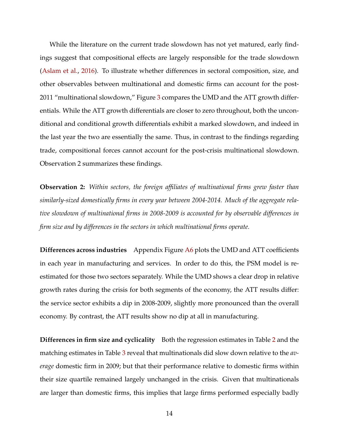While the literature on the current trade slowdown has not yet matured, early findings suggest that compositional effects are largely responsible for the trade slowdown [\(Aslam et al.,](#page-26-6) [2016\)](#page-26-6). To illustrate whether differences in sectoral composition, size, and other observables between multinational and domestic firms can account for the post-2011 "multinational slowdown," Figure [3](#page-34-0) compares the UMD and the ATT growth differentials. While the ATT growth differentials are closer to zero throughout, both the unconditional and conditional growth differentials exhibit a marked slowdown, and indeed in the last year the two are essentially the same. Thus, in contrast to the findings regarding trade, compositional forces cannot account for the post-crisis multinational slowdown. Observation 2 summarizes these findings.

**Observation 2:** *Within sectors, the foreign affiliates of multinational firms grew faster than similarly-sized domestically firms in every year between 2004-2014. Much of the aggregate relative slowdown of multinational firms in 2008-2009 is accounted for by observable differences in firm size and by differences in the sectors in which multinational firms operate.*

**Differences across industries** Appendix Figure [A6](#page-48-0) plots the UMD and ATT coefficients in each year in manufacturing and services. In order to do this, the PSM model is reestimated for those two sectors separately. While the UMD shows a clear drop in relative growth rates during the crisis for both segments of the economy, the ATT results differ: the service sector exhibits a dip in 2008-2009, slightly more pronounced than the overall economy. By contrast, the ATT results show no dip at all in manufacturing.

**Differences in firm size and cyclicality** Both the regression estimates in Table [2](#page-29-1) and the matching estimates in Table [3](#page-30-0) reveal that multinationals did slow down relative to the *average* domestic firm in 2009; but that their performance relative to domestic firms within their size quartile remained largely unchanged in the crisis. Given that multinationals are larger than domestic firms, this implies that large firms performed especially badly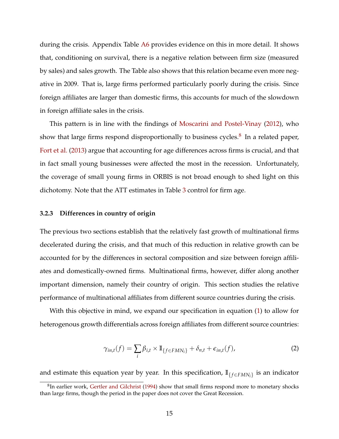during the crisis. Appendix Table [A6](#page-43-0) provides evidence on this in more detail. It shows that, conditioning on survival, there is a negative relation between firm size (measured by sales) and sales growth. The Table also shows that this relation became even more negative in 2009. That is, large firms performed particularly poorly during the crisis. Since foreign affiliates are larger than domestic firms, this accounts for much of the slowdown in foreign affiliate sales in the crisis.

This pattern is in line with the findings of [Moscarini and Postel-Vinay](#page-28-2) [\(2012\)](#page-28-2), who show that large firms respond disproportionally to business cycles.<sup>[8](#page-15-0)</sup> In a related paper, [Fort et al.](#page-27-7) [\(2013\)](#page-27-7) argue that accounting for age differences across firms is crucial, and that in fact small young businesses were affected the most in the recession. Unfortunately, the coverage of small young firms in ORBIS is not broad enough to shed light on this dichotomy. Note that the ATT estimates in Table [3](#page-30-0) control for firm age.

### **3.2.3 Differences in country of origin**

The previous two sections establish that the relatively fast growth of multinational firms decelerated during the crisis, and that much of this reduction in relative growth can be accounted for by the differences in sectoral composition and size between foreign affiliates and domestically-owned firms. Multinational firms, however, differ along another important dimension, namely their country of origin. This section studies the relative performance of multinational affiliates from different source countries during the crisis.

With this objective in mind, we expand our specification in equation [\(1\)](#page-10-1) to allow for heterogenous growth differentials across foreign affiliates from different source countries:

<span id="page-15-1"></span>
$$
\gamma_{in,t}(f) = \sum_{i} \beta_{i,t} \times \mathbb{I}_{\{f \in FMN_i\}} + \delta_{n,t} + \epsilon_{in,t}(f), \tag{2}
$$

and estimate this equation year by year. In this specification,  $\mathbb{I}_{f \in FMN_i}$  is an indicator

<span id="page-15-0"></span> ${}^{8}$ In earlier work, [Gertler and Gilchrist](#page-27-8) [\(1994\)](#page-27-8) show that small firms respond more to monetary shocks than large firms, though the period in the paper does not cover the Great Recession.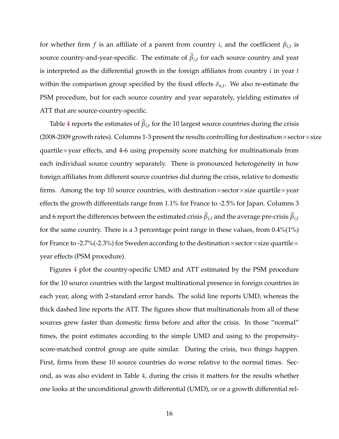for whether firm *f* is an affiliate of a parent from country *i*, and the coefficient  $\beta_{i,t}$  is source country-and-year-specific. The estimate of  $\beta_{i,t}$  for each source country and year is interpreted as the differential growth in the foreign affiliates from country *i* in year *t* within the comparison group specified by the fixed effects  $\delta_{n,t}$ . We also re-estimate the PSM procedure, but for each source country and year separately, yielding estimates of ATT that are source-country-specific.

Table [4](#page-31-0) reports the estimates of  $\beta_{i,t}$  for the 10 largest source countries during the crisis (2008-2009 growth rates). Columns 1-3 present the results controlling for destination  $\times$  sector $\times$ size quartile $\times$ year effects, and 4-6 using propensity score matching for multinationals from each individual source country separately. There is pronounced heterogeneity in how foreign affiliates from different source countries did during the crisis, relative to domestic firms. Among the top 10 source countries, with destination $\times$ sector $\times$ size quartile $\times$ year effects the growth differentials range from 1.1% for France to -2.5% for Japan. Columns 3 and 6 report the differences between the estimated crisis  $\beta_{i,t}$  and the average pre-crisis  $\beta_{i,t}$ for the same country. There is a 3 percentage point range in these values, from 0.4%(1%) for France to -2.7%(-2.3%) for Sweden according to the destination  $\times$  sector  $\times$  size quartile  $\times$ year effects (PSM procedure).

Figures [4](#page-35-0) plot the country-specific UMD and ATT estimated by the PSM procedure for the 10 source countries with the largest multinational presence in foreign countries in each year, along with 2-standard error bands. The solid line reports UMD, whereas the thick dashed line reports the ATT. The figures show that multinationals from all of these sources grew faster than domestic firms before and after the crisis. In those "normal" times, the point estimates according to the simple UMD and using to the propensityscore-matched control group are quite similar. During the crisis, two things happen. First, firms from these 10 source countries do worse relative to the normal times. Second, as was also evident in Table [4,](#page-31-0) during the crisis it matters for the results whether one looks at the unconditional growth differential (UMD), or or a growth differential rel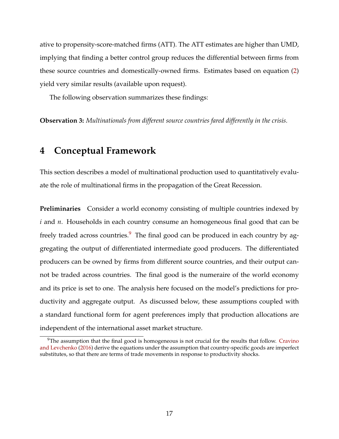ative to propensity-score-matched firms (ATT). The ATT estimates are higher than UMD, implying that finding a better control group reduces the differential between firms from these source countries and domestically-owned firms. Estimates based on equation [\(2\)](#page-15-1) yield very similar results (available upon request).

The following observation summarizes these findings:

**Observation 3:** *Multinationals from different source countries fared differently in the crisis.*

## <span id="page-17-0"></span>**4 Conceptual Framework**

This section describes a model of multinational production used to quantitatively evaluate the role of multinational firms in the propagation of the Great Recession.

**Preliminaries** Consider a world economy consisting of multiple countries indexed by *i* and *n*. Households in each country consume an homogeneous final good that can be freely traded across countries. $9$  The final good can be produced in each country by aggregating the output of differentiated intermediate good producers. The differentiated producers can be owned by firms from different source countries, and their output cannot be traded across countries. The final good is the numeraire of the world economy and its price is set to one. The analysis here focused on the model's predictions for productivity and aggregate output. As discussed below, these assumptions coupled with a standard functional form for agent preferences imply that production allocations are independent of the international asset market structure.

<span id="page-17-1"></span> $9$ The assumption that the final good is homogeneous is not crucial for the results that follow. [Cravino](#page-27-3) [and Levchenko](#page-27-3) [\(2016\)](#page-27-3) derive the equations under the assumption that country-specific goods are imperfect substitutes, so that there are terms of trade movements in response to productivity shocks.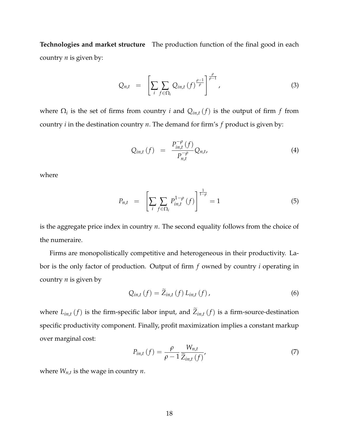**Technologies and market structure** The production function of the final good in each country *n* is given by:

$$
Q_{n,t} = \left[ \sum_{i} \sum_{f \in \Omega_i} Q_{in,t} \left( f \right)^{\frac{\rho-1}{\rho}} \right]^{\frac{\rho}{\rho-1}}, \tag{3}
$$

where  $\Omega_i$  is the set of firms from country *i* and  $Q_{in,t}(f)$  is the output of firm *f* from country *i* in the destination country *n*. The demand for firm's *f* product is given by:

$$
Q_{in,t}(f) = \frac{P_{in,t}^{-\rho}(f)}{P_{n,t}^{-\rho}} Q_{n,t}, \qquad (4)
$$

where

<span id="page-18-0"></span>
$$
P_{n,t} = \left[ \sum_{i} \sum_{f \in \Omega_i} P_{in,t}^{1-\rho} (f) \right]^{\frac{1}{1-\rho}} = 1 \tag{5}
$$

is the aggregate price index in country *n*. The second equality follows from the choice of the numeraire.

Firms are monopolistically competitive and heterogeneous in their productivity. Labor is the only factor of production. Output of firm *f* owned by country *i* operating in country *n* is given by

$$
Q_{in,t}(f) = Z_{in,t}(f) L_{in,t}(f),
$$
\n(6)

where  $L_{in,t}(f)$  is the firm-specific labor input, and  $\widetilde{Z}_{in,t}(f)$  is a firm-source-destination specific productivity component. Finally, profit maximization implies a constant markup over marginal cost:

<span id="page-18-1"></span>
$$
P_{in,t}(f) = \frac{\rho}{\rho - 1} \frac{W_{n,t}}{\widetilde{Z}_{in,t}(f)},
$$
\n(7)

where *Wn*,*<sup>t</sup>* is the wage in country *n*.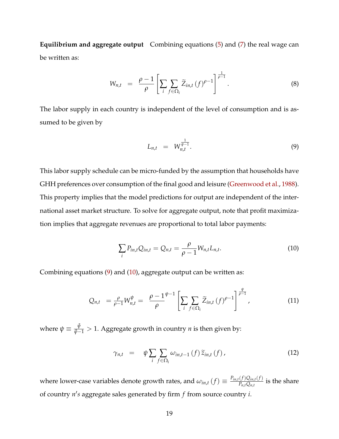**Equilibrium and aggregate output** Combining equations [\(5\)](#page-18-0) and [\(7\)](#page-18-1) the real wage can be written as:

$$
W_{n,t} = \frac{\rho - 1}{\rho} \left[ \sum_{i} \sum_{f \in \Omega_i} \widetilde{Z}_{in,t} (f)^{\rho - 1} \right]^{\frac{1}{\rho - 1}}.
$$
 (8)

The labor supply in each country is independent of the level of consumption and is assumed to be given by

<span id="page-19-0"></span>
$$
L_{n,t} = W_{n,t}^{\frac{1}{\psi - 1}}.
$$
 (9)

This labor supply schedule can be micro-funded by the assumption that households have GHH preferences over consumption of the final good and leisure [\(Greenwood et al.,](#page-27-9) [1988\)](#page-27-9). This property implies that the model predictions for output are independent of the international asset market structure. To solve for aggregate output, note that profit maximization implies that aggregate revenues are proportional to total labor payments:

<span id="page-19-1"></span>
$$
\sum_{i} P_{in,t} Q_{in,t} = Q_{n,t} = \frac{\rho}{\rho - 1} W_{n,t} L_{n,t}.
$$
 (10)

Combining equations [\(9\)](#page-19-0) and [\(10\)](#page-19-1), aggregate output can be written as:

$$
Q_{n,t} = \frac{\rho}{\rho-1} W_{n,t}^{\psi} = \frac{\rho-1}{\rho}^{\psi-1} \left[ \sum_{i} \sum_{f \in \Omega_i} \widetilde{Z}_{in,t} (f)^{\rho-1} \right]^{\frac{\psi}{\rho-1}}, \tag{11}
$$

where  $\psi \equiv \frac{\bar{\psi}}{\bar{\psi} - 1} > 1$ . Aggregate growth in country *n* is then given by:

<span id="page-19-2"></span>
$$
\gamma_{n,t} = \psi \sum_{i} \sum_{f \in \Omega_i} \omega_{in,t-1}(f) \widetilde{z}_{in,t}(f), \qquad (12)
$$

where lower-case variables denote growth rates, and  $\omega_{in,t}(f) \equiv \frac{P_{in,t}(f)Q_{in,t}(f)}{P_{n,t}Q_{n,t}}$  $\frac{(\bigcup \mathcal{Q}_{in,t}(\bigcup \bigcup \mathcal{Q}_{n,t})}{P_{n,t}Q_{n,t}}$  is the share of country *n*0 *s* aggregate sales generated by firm *f* from source country *i*.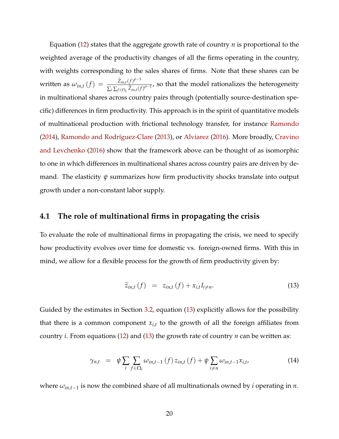Equation [\(12\)](#page-19-2) states that the aggregate growth rate of country *n* is proportional to the weighted average of the productivity changes of all the firms operating in the country, with weights corresponding to the sales shares of firms. Note that these shares can be written as  $\omega_{in,t}(f) = \frac{\tilde{Z}_{in,t}(f)^{\rho-1}}{\sum_{i} \sum_{j} \tilde{Z}_{i,j}(f)}$  $\frac{\sum_{i=1}^{L} \sum_{f \in \Omega_i} \widetilde{Z}_{in,t}(f)^{\rho-1}}{ \sum_i \sum_{f \in \Omega_i} \widetilde{Z}_{in,t}(f)^{\rho-1}}$ , so that the model rationalizes the heterogeneity in multinational shares across country pairs through (potentially source-destination specific) differences in firm productivity. This approach is in the spirit of quantitative models of multinational production with frictional technology transfer, for instance [Ramondo](#page-28-3) [\(2014\)](#page-28-3), [Ramondo and Rodríguez-Clare](#page-28-4) [\(2013\)](#page-28-4), or [Alviarez](#page-26-5) [\(2016\)](#page-26-5). More broadly, [Cravino](#page-27-3) [and Levchenko](#page-27-3) [\(2016\)](#page-27-3) show that the framework above can be thought of as isomorphic to one in which differences in multinational shares across country pairs are driven by demand. The elasticity  $\psi$  summarizes how firm productivity shocks translate into output growth under a non-constant labor supply.

## **4.1 The role of multinational firms in propagating the crisis**

To evaluate the role of multinational firms in propagating the crisis, we need to specify how productivity evolves over time for domestic vs. foreign-owned firms. With this in mind, we allow for a flexible process for the growth of firm productivity given by:

<span id="page-20-0"></span>
$$
\widetilde{z}_{in,t}\left(f\right) \hspace{0.1cm} = \hspace{0.1cm} z_{in,t}\left(f\right) + x_{i,t}I_{i \neq n}.\hspace{1cm} (13)
$$

Guided by the estimates in Section [3.2,](#page-9-1) equation [\(13\)](#page-20-0) explicitly allows for the possibility that there is a common component  $x_{i,t}$  to the growth of all the foreign affiliates from country *i*. From equations [\(12\)](#page-19-2) and [\(13\)](#page-20-0) the growth rate of country *n* can be written as:

<span id="page-20-1"></span>
$$
\gamma_{n,t} = \psi \sum_{i} \sum_{f \in \Omega_i} \omega_{in,t-1}(f) z_{in,t}(f) + \psi \sum_{i \neq n} \omega_{in,t-1} x_{i,t}, \qquad (14)
$$

where  $\omega_{in,t-1}$  is now the combined share of all multinationals owned by *i* operating in *n*.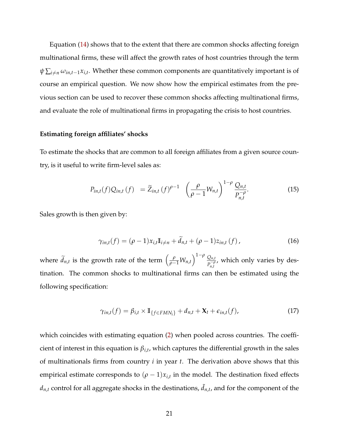Equation [\(14\)](#page-20-1) shows that to the extent that there are common shocks affecting foreign multinational firms, these will affect the growth rates of host countries through the term  $\psi \sum_{i \neq n} \omega_{in,t-1} x_{i,t}$ . Whether these common components are quantitatively important is of course an empirical question. We now show how the empirical estimates from the previous section can be used to recover these common shocks affecting multinational firms, and evaluate the role of multinational firms in propagating the crisis to host countries.

### **Estimating foreign affiliates' shocks**

To estimate the shocks that are common to all foreign affiliates from a given source country, is it useful to write firm-level sales as:

$$
P_{in,t}(f)Q_{in,t}(f) = \widetilde{Z}_{in,t}(f)^{\rho-1} \left(\frac{\rho}{\rho-1}W_{n,t}\right)^{1-\rho}\frac{Q_{n,t}}{P_{n,t}^{-\rho}}.
$$
 (15)

Sales growth is then given by:

$$
\gamma_{in,t}(f) = (\rho - 1)x_{i,t}\mathbb{I}_{i \neq n} + \widetilde{d}_{n,t} + (\rho - 1)z_{in,t}(f), \qquad (16)
$$

where  $\widetilde{d}_{n,t}$  is the growth rate of the term  $\left(\frac{\rho}{\rho-1}W_{n,t}\right)$  $\bigcap^{1-\rho} Q_{n,t}$  $P_{n,t}^{-\rho}$ , which only varies by destination. The common shocks to multinational firms can then be estimated using the following specification:

$$
\gamma_{in,t}(f) = \beta_{i,t} \times \mathbb{I}_{\{f \in FMN_i\}} + d_{n,t} + \mathbf{X}_t + \epsilon_{in,t}(f), \tag{17}
$$

which coincides with estimating equation [\(2\)](#page-15-1) when pooled across countries. The coefficient of interest in this equation is  $\beta_{i,t}$ , which captures the differential growth in the sales of multinationals firms from country *i* in year *t*. The derivation above shows that this empirical estimate corresponds to  $(\rho - 1)x_{i,t}$  in the model. The destination fixed effects  $d_{n,t}$  control for all aggregate shocks in the destinations,  $\tilde{d}_{n,t}$ , and for the component of the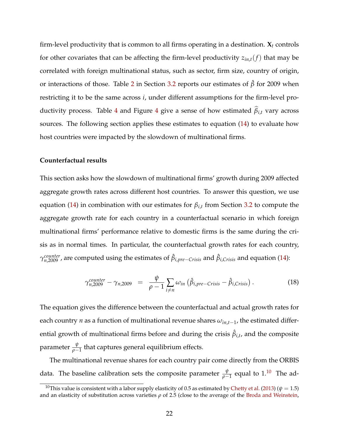firm-level productivity that is common to all firms operating in a destination. **X***<sup>t</sup>* controls for other covariates that can be affecting the firm-level productivity  $z_{in,t}(f)$  that may be correlated with foreign multinational status, such as sector, firm size, country of origin, or interactions of those. Table [2](#page-29-1) in Section [3.2](#page-9-1) reports our estimates of  $\hat{\beta}$  for 2009 when restricting it to be the same across *i*, under different assumptions for the firm-level pro-ductivity process. Table [4](#page-35-0) and Figure 4 give a sense of how estimated  $\beta_{i,t}$  vary across sources. The following section applies these estimates to equation [\(14\)](#page-20-1) to evaluate how host countries were impacted by the slowdown of multinational firms.

### **Counterfactual results**

This section asks how the slowdown of multinational firms' growth during 2009 affected aggregate growth rates across different host countries. To answer this question, we use equation [\(14\)](#page-20-1) in combination with our estimates for  $\beta_{i,t}$  from Section [3.2](#page-9-1) to compute the aggregate growth rate for each country in a counterfactual scenario in which foreign multinational firms' performance relative to domestic firms is the same during the crisis as in normal times. In particular, the counterfactual growth rates for each country,  $\gamma_{n,2009}^{counter}$  , are computed using the estimates of  $\hat{\beta}_{i,pre-Crisis}$  and  $\hat{\beta}_{i,Crisis}$  and equation [\(14\)](#page-20-1):

<span id="page-22-1"></span>
$$
\gamma_{n,2009}^{counter} - \gamma_{n,2009} = \frac{\psi}{\rho - 1} \sum_{i \neq n} \omega_{in} \left( \hat{\beta}_{i,pre-Crisis} - \hat{\beta}_{i,Crisis} \right).
$$
 (18)

The equation gives the difference between the counterfactual and actual growth rates for each country *n* as a function of multinational revenue shares  $\omega_{in,t-1}$ , the estimated differential growth of multinational firms before and during the crisis  $\hat{\beta}_{i,t}$ , and the composite parameter  $\frac{\psi}{\rho-1}$  that captures general equilibrium effects.

The multinational revenue shares for each country pair come directly from the ORBIS data. The baseline calibration sets the composite parameter  $\frac{\psi}{\rho-1}$  equal to 1.<sup>[10](#page-22-0)</sup> The ad-

<span id="page-22-0"></span><sup>&</sup>lt;sup>10</sup>This value is consistent with a labor supply elasticity of 0.5 as estimated by [Chetty et al.](#page-26-7) [\(2013\)](#page-26-7) ( $\psi = 1.5$ ) and an elasticity of substitution across varieties  $\rho$  of 2.5 (close to the average of the [Broda and Weinstein,](#page-26-8)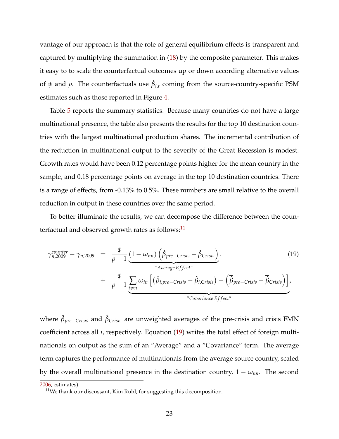vantage of our approach is that the role of general equilibrium effects is transparent and captured by multiplying the summation in [\(18\)](#page-22-1) by the composite parameter. This makes it easy to to scale the counterfactual outcomes up or down according alternative values of  $\psi$  and  $\rho$ . The counterfactuals use  $\hat{\beta}_{i,t}$  coming from the source-country-specific PSM estimates such as those reported in Figure [4.](#page-35-0)

Table [5](#page-31-1) reports the summary statistics. Because many countries do not have a large multinational presence, the table also presents the results for the top 10 destination countries with the largest multinational production shares. The incremental contribution of the reduction in multinational output to the severity of the Great Recession is modest. Growth rates would have been 0.12 percentage points higher for the mean country in the sample, and 0.18 percentage points on average in the top 10 destination countries. There is a range of effects, from -0.13% to 0.5%. These numbers are small relative to the overall reduction in output in these countries over the same period.

To better illuminate the results, we can decompose the difference between the counterfactual and observed growth rates as follows:<sup>11</sup>

<span id="page-23-1"></span>
$$
\gamma_{n,2009}^{counter} - \gamma_{n,2009} = \frac{\psi}{\rho - 1} \underbrace{(1 - \omega_{nn}) \left(\overline{\beta}_{pre-Crisis} - \overline{\beta}_{Crisis}\right)}_{\text{"Average Effect"}} \cdot \frac{\gamma_{n,2009}}{\left(\beta_{i,pre-Crisis} - \beta_{i,Crisis}\right) - \left(\overline{\beta}_{pre-Crisis} - \overline{\beta}_{Crisis}\right)}_{\text{"Covariance Effect"}} \tag{19}
$$

where  $\hat{\beta}_{pre-Crisis}$  and  $\hat{\beta}_{Crisis}$  are unweighted averages of the pre-crisis and crisis FMN coefficient across all *i*, respectively. Equation [\(19\)](#page-23-1) writes the total effect of foreign multinationals on output as the sum of an "Average" and a "Covariance" term. The average term captures the performance of multinationals from the average source country, scaled by the overall multinational presence in the destination country,  $1 - \omega_{nn}$ . The second

[<sup>2006,</sup>](#page-26-8) estimates).

<span id="page-23-0"></span> $11$ We thank our discussant, Kim Ruhl, for suggesting this decomposition.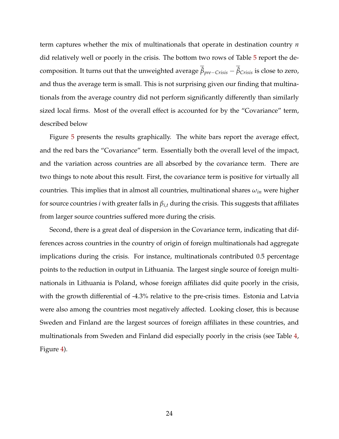term captures whether the mix of multinationals that operate in destination country *n* did relatively well or poorly in the crisis. The bottom two rows of Table [5](#page-31-1) report the decomposition. It turns out that the unweighted average  $\hat{\beta}_{pre-Crisis}-\hat{\beta}_{Crisis}$  is close to zero, and thus the average term is small. This is not surprising given our finding that multinationals from the average country did not perform significantly differently than similarly sized local firms. Most of the overall effect is accounted for by the "Covariance" term, described below

Figure [5](#page-36-0) presents the results graphically. The white bars report the average effect, and the red bars the "Covariance" term. Essentially both the overall level of the impact, and the variation across countries are all absorbed by the covariance term. There are two things to note about this result. First, the covariance term is positive for virtually all countries. This implies that in almost all countries, multinational shares  $\omega_{in}$  were higher for source countries *i* with greater falls in  $\beta_{i,t}$  during the crisis. This suggests that affiliates from larger source countries suffered more during the crisis.

Second, there is a great deal of dispersion in the Covariance term, indicating that differences across countries in the country of origin of foreign multinationals had aggregate implications during the crisis. For instance, multinationals contributed 0.5 percentage points to the reduction in output in Lithuania. The largest single source of foreign multinationals in Lithuania is Poland, whose foreign affiliates did quite poorly in the crisis, with the growth differential of -4.3% relative to the pre-crisis times. Estonia and Latvia were also among the countries most negatively affected. Looking closer, this is because Sweden and Finland are the largest sources of foreign affiliates in these countries, and multinationals from Sweden and Finland did especially poorly in the crisis (see Table [4,](#page-31-0) Figure [4\)](#page-35-0).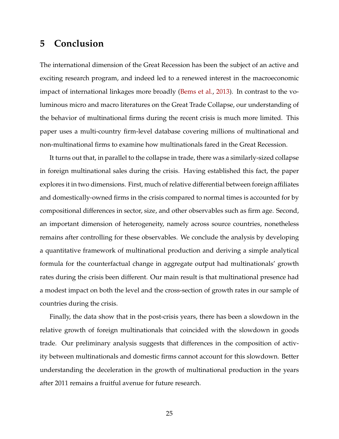# <span id="page-25-0"></span>**5 Conclusion**

The international dimension of the Great Recession has been the subject of an active and exciting research program, and indeed led to a renewed interest in the macroeconomic impact of international linkages more broadly [\(Bems et al.,](#page-26-2) [2013\)](#page-26-2). In contrast to the voluminous micro and macro literatures on the Great Trade Collapse, our understanding of the behavior of multinational firms during the recent crisis is much more limited. This paper uses a multi-country firm-level database covering millions of multinational and non-multinational firms to examine how multinationals fared in the Great Recession.

It turns out that, in parallel to the collapse in trade, there was a similarly-sized collapse in foreign multinational sales during the crisis. Having established this fact, the paper explores it in two dimensions. First, much of relative differential between foreign affiliates and domestically-owned firms in the crisis compared to normal times is accounted for by compositional differences in sector, size, and other observables such as firm age. Second, an important dimension of heterogeneity, namely across source countries, nonetheless remains after controlling for these observables. We conclude the analysis by developing a quantitative framework of multinational production and deriving a simple analytical formula for the counterfactual change in aggregate output had multinationals' growth rates during the crisis been different. Our main result is that multinational presence had a modest impact on both the level and the cross-section of growth rates in our sample of countries during the crisis.

Finally, the data show that in the post-crisis years, there has been a slowdown in the relative growth of foreign multinationals that coincided with the slowdown in goods trade. Our preliminary analysis suggests that differences in the composition of activity between multinationals and domestic firms cannot account for this slowdown. Better understanding the deceleration in the growth of multinational production in the years after 2011 remains a fruitful avenue for future research.

25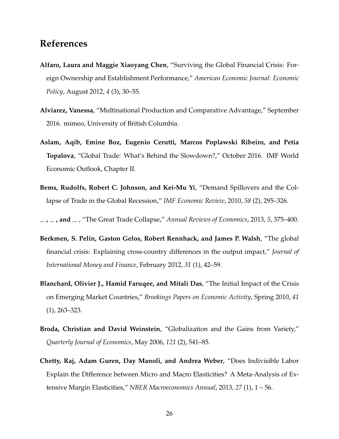# **References**

- <span id="page-26-4"></span>**Alfaro, Laura and Maggie Xiaoyang Chen**, "Surviving the Global Financial Crisis: Foreign Ownership and Establishment Performance," *American Economic Journal: Economic Policy*, August 2012, *4* (3), 30–55.
- <span id="page-26-5"></span>**Alviarez, Vanessa**, "Multinational Production and Comparative Advantage," September 2016. mimeo, University of British Columbia.
- <span id="page-26-6"></span>**Aslam, Aqib, Emine Boz, Eugenio Cerutti, Marcos Poplawski Ribeiro, and Petia Topalova**, "Global Trade: What's Behind the Slowdown?," October 2016. IMF World Economic Outlook, Chapter II.
- <span id="page-26-3"></span>**Bems, Rudolfs, Robert C. Johnson, and Kei-Mu Yi**, "Demand Spillovers and the Collapse of Trade in the Global Recession," *IMF Economic Review*, 2010, *58* (2), 295–326.
- <span id="page-26-2"></span>**, , and** , "The Great Trade Collapse," *Annual Reviews of Economics*, 2013, *5*, 375–400.
- <span id="page-26-1"></span>**Berkmen, S. Pelin, Gaston Gelos, Robert Rennhack, and James P. Walsh**, "The global financial crisis: Explaining cross-country differences in the output impact," *Journal of International Money and Finance*, February 2012, *31* (1), 42–59.
- <span id="page-26-0"></span>**Blanchard, Olivier J., Hamid Faruqee, and Mitali Das**, "The Initial Impact of the Crisis on Emerging Market Countries," *Brookings Papers on Economic Activity*, Spring 2010, *41* (1), 263–323.
- <span id="page-26-8"></span>**Broda, Christian and David Weinstein**, "Globalization and the Gains from Variety," *Quarterly Journal of Economics*, May 2006, *121* (2), 541–85.
- <span id="page-26-7"></span>**Chetty, Raj, Adam Guren, Day Manoli, and Andrea Weber**, "Does Indivisible Labor Explain the Difference between Micro and Macro Elasticities? A Meta-Analysis of Extensive Margin Elasticities," *NBER Macroeconomics Annual*, 2013, *27* (1), 1 – 56.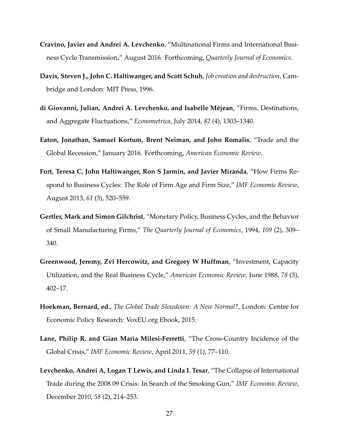- <span id="page-27-3"></span>**Cravino, Javier and Andrei A. Levchenko**, "Multinational Firms and International Business Cycle Transmission," August 2016. Forthcoming, *Quarterly Journal of Economics*.
- <span id="page-27-4"></span>**Davis, Steven J., John C. Haltiwanger, and Scott Schuh**, *Job creation and destruction*, Cambridge and London: MIT Press, 1996.
- <span id="page-27-5"></span>**di Giovanni, Julian, Andrei A. Levchenko, and Isabelle Méjean**, "Firms, Destinations, and Aggregate Fluctuations," *Econometrica*, July 2014, *82* (4), 1303–1340.
- <span id="page-27-2"></span>**Eaton, Jonathan, Samuel Kortum, Brent Neiman, and John Romalis**, "Trade and the Global Recession," January 2016. Forthcoming, *American Economic Review*.
- <span id="page-27-7"></span>**Fort, Teresa C, John Haltiwanger, Ron S Jarmin, and Javier Miranda**, "How Firms Respond to Business Cycles: The Role of Firm Age and Firm Size," *IMF Economic Review*, August 2013, *61* (3), 520–559.
- <span id="page-27-8"></span>**Gertler, Mark and Simon Gilchrist**, "Monetary Policy, Business Cycles, and the Behavior of Small Manufacturing Firms," *The Quarterly Journal of Economics*, 1994, *109* (2), 309– 340.
- <span id="page-27-9"></span>**Greenwood, Jeremy, Zvi Hercowitz, and Gregory W Huffman**, "Investment, Capacity Utilization, and the Real Business Cycle," *American Economic Review*, June 1988, *78* (3), 402–17.
- <span id="page-27-6"></span>**Hoekman, Bernard, ed.**, *The Global Trade Slowdown: A New Normal?*, London: Centre for Economic Policy Research: VoxEU.org Ebook, 2015.
- <span id="page-27-0"></span>**Lane, Philip R. and Gian Maria Milesi-Ferretti**, "The Cross-Country Incidence of the Global Crisis," *IMF Economic Review*, April 2011, *59* (1), 77–110.
- <span id="page-27-1"></span>**Levchenko, Andrei A, Logan T Lewis, and Linda L Tesar**, "The Collapse of International Trade during the 2008 09 Crisis: In Search of the Smoking Gun," *IMF Economic Review*, December 2010, *58* (2), 214–253.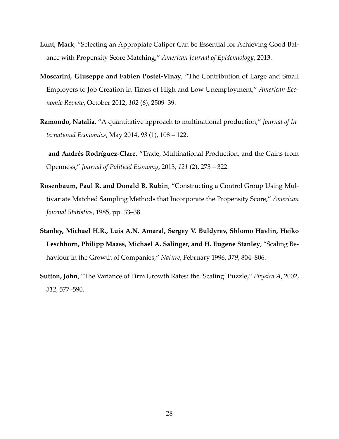- <span id="page-28-6"></span>**Lunt, Mark**, "Selecting an Appropiate Caliper Can be Essential for Achieving Good Balance with Propensity Score Matching," *American Journal of Epidemiology*, 2013.
- <span id="page-28-2"></span>**Moscarini, Giuseppe and Fabien Postel-Vinay**, "The Contribution of Large and Small Employers to Job Creation in Times of High and Low Unemployment," *American Economic Review*, October 2012, *102* (6), 2509–39.
- <span id="page-28-3"></span>**Ramondo, Natalia**, "A quantitative approach to multinational production," *Journal of International Economics*, May 2014, *93* (1), 108 – 122.
- <span id="page-28-4"></span>**and Andrés Rodríguez-Clare**, "Trade, Multinational Production, and the Gains from Openness," *Journal of Political Economy*, 2013, *121* (2), 273 – 322.
- <span id="page-28-5"></span>**Rosenbaum, Paul R. and Donald B. Rubin**, "Constructing a Control Group Using Multivariate Matched Sampling Methods that Incorporate the Propensity Score," *American Journal Statistics*, 1985, pp. 33–38.
- <span id="page-28-0"></span>**Stanley, Michael H.R., Luis A.N. Amaral, Sergey V. Buldyrev, Shlomo Havlin, Heiko Leschhorn, Philipp Maass, Michael A. Salinger, and H. Eugene Stanley**, "Scaling Behaviour in the Growth of Companies," *Nature*, February 1996, *379*, 804–806.
- <span id="page-28-1"></span>**Sutton, John**, "The Variance of Firm Growth Rates: the 'Scaling' Puzzle," *Physica A*, 2002, *312*, 577–590.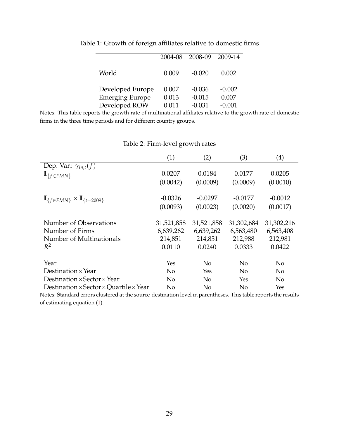|                        | 2004-08 | 2008-09  | 2009-14  |
|------------------------|---------|----------|----------|
| World                  | 0.009   | $-0.020$ | 0.002    |
| Developed Europe       | 0.007   | $-0.036$ | $-0.002$ |
| <b>Emerging Europe</b> | 0.013   | $-0.015$ | 0.007    |
| Developed ROW          | 0.011   | $-0.031$ | $-0.001$ |

<span id="page-29-0"></span>Table 1: Growth of foreign affiliates relative to domestic firms

Notes: This table reports the growth rate of multinational affiliates relative to the growth rate of domestic firms in the three time periods and for different country groups.

<span id="page-29-1"></span>

|                                                             | $\left( 1\right)$ | (2)            | (3)            | $\left( 4\right)$ |
|-------------------------------------------------------------|-------------------|----------------|----------------|-------------------|
| Dep. Var.: $\gamma_{in,t}(f)$                               |                   |                |                |                   |
| $\mathbb{I}_{\{f \in FMN\}}$                                | 0.0207            | 0.0184         | 0.0177         | 0.0205            |
|                                                             | (0.0042)          | (0.0009)       | (0.0009)       | (0.0010)          |
|                                                             |                   |                |                |                   |
| $\mathbb{I}_{f \in FMN} \times \mathbb{I}_{t=2009}$         | $-0.0326$         | $-0.0297$      | $-0.0177$      | $-0.0012$         |
|                                                             | (0.0093)          | (0.0023)       | (0.0020)       | (0.0017)          |
| Number of Observations                                      | 31,521,858        | 31,521,858     | 31,302,684     | 31,302,216        |
| Number of Firms                                             | 6,639,262         | 6,639,262      | 6,563,480      | 6,563,408         |
| Number of Multinationals                                    | 214,851           | 214,851        | 212,988        | 212,981           |
| $R^2$                                                       | 0.0110            | 0.0240         | 0.0333         | 0.0422            |
|                                                             |                   |                |                |                   |
| Year                                                        | Yes               | No             | N <sub>0</sub> | N <sub>o</sub>    |
| Destination $\times$ Year                                   | No                | Yes            | N <sub>0</sub> | N <sub>0</sub>    |
| Destination $\times$ Sector $\times$ Year                   | N <sub>0</sub>    | N <sub>0</sub> | Yes            | N <sub>0</sub>    |
| Destination $\times$ Sector $\times$ Quartile $\times$ Year | No                | No             | N <sub>o</sub> | Yes               |

## Table 2: Firm-level growth rates

Notes: Standard errors clustered at the source-destination level in parentheses. This table reports the results of estimating equation [\(1\)](#page-10-1).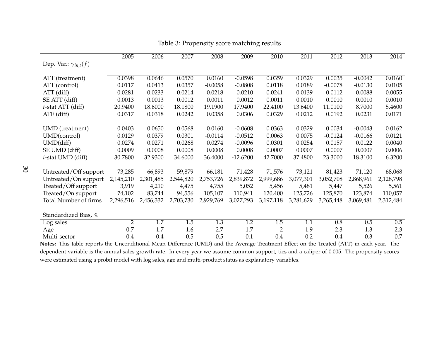|                               | 2005           | 2006      | 2007      | 2008      | 2009       | 2010      | 2011      | 2012      | 2013      | 2014        |
|-------------------------------|----------------|-----------|-----------|-----------|------------|-----------|-----------|-----------|-----------|-------------|
| Dep. Var.: $\gamma_{in,t}(f)$ |                |           |           |           |            |           |           |           |           |             |
|                               |                |           |           |           |            |           |           |           |           |             |
| ATT (treatment)               | 0.0398         | 0.0646    | 0.0570    | 0.0160    | $-0.0598$  | 0.0359    | 0.0329    | 0.0035    | $-0.0042$ | 0.0160      |
| ATT (control)                 | 0.0117         | 0.0413    | 0.0357    | $-0.0058$ | $-0.0808$  | 0.0118    | 0.0189    | $-0.0078$ | $-0.0130$ | 0.0105      |
| ATT (diff)                    | 0.0281         | 0.0233    | 0.0214    | 0.0218    | 0.0210     | 0.0241    | 0.0139    | 0.0112    | 0.0088    | 0.0055      |
| SE ATT (diff)                 | 0.0013         | 0.0013    | 0.0012    | 0.0011    | 0.0012     | 0.0011    | 0.0010    | 0.0010    | 0.0010    | 0.0010      |
| $t$ -stat ATT (diff)          | 20.9400        | 18.6000   | 18.1800   | 19.1900   | 17.9400    | 22.4100   | 13.6400   | 11.0100   | 8.7000    | 5.4600      |
| ATE (diff)                    | 0.0317         | 0.0318    | 0.0242    | 0.0358    | 0.0306     | 0.0329    | 0.0212    | 0.0192    | 0.0231    | 0.0171      |
|                               |                |           |           |           |            |           |           |           |           |             |
| UMD (treatment)               | 0.0403         | 0.0650    | 0.0568    | 0.0160    | $-0.0608$  | 0.0363    | 0.0329    | 0.0034    | $-0.0043$ | 0.0162      |
| UMD(control)                  | 0.0129         | 0.0379    | 0.0301    | $-0.0114$ | $-0.0512$  | 0.0063    | 0.0075    | $-0.0124$ | $-0.0166$ | 0.0121      |
| UMD(diff)                     | 0.0274         | 0.0271    | 0.0268    | 0.0274    | $-0.0096$  | 0.0301    | 0.0254    | 0.0157    | 0.0122    | 0.0040      |
| SE UMD (diff)                 | 0.0009         | 0.0008    | 0.0008    | 0.0008    | 0.0008     | 0.0007    | 0.0007    | 0.0007    | 0.0007    | 0.0006      |
| t-stat UMD (diff)             | 30.7800        | 32.9300   | 34.6000   | 36.4000   | $-12.6200$ | 42.7000   | 37.4800   | 23.3000   | 18.3100   | 6.3200      |
|                               |                |           |           |           |            |           |           |           |           |             |
| Untreated/Off support         | 73,285         | 66,893    | 59,879    | 66,181    | 71,428     | 71,576    | 73,121    | 81,423    | 71,120    | 68,068      |
| Untreated/On support          | 2,145,210      | 2,301,485 | 2,544,820 | 2,753,726 | 2,839,872  | 2,999,686 | 3,077,301 | 3,052,708 | 2,868,961 | 2,128,798   |
| Treated/Off support           | 3,919          | 4,210     | 4,475     | 4,755     | 5,052      | 5,456     | 5,481     | 5,447     | 5,526     | 5,561       |
| Treated/On support            | 74,102         | 83,744    | 94,556    | 105,107   | 110,941    | 120,400   | 125,726   | 125,870   | 123,874   | 110,057     |
| Total Number of firms         | 2,296,516      | 2,456,332 | 2,703,730 | 2,929,769 | 3,027,293  | 3,197,118 | 3,281,629 | 3,265,448 | 3,069,481 | 2,312,484   |
|                               |                |           |           |           |            |           |           |           |           |             |
| Standardized Bias, %          |                |           |           |           |            |           |           |           |           |             |
| Log sales                     | $\overline{2}$ | 1.7       | 1.5       | 1.3       | 1.2        | 1.5       | 1.1       | 0.8       | 0.5       | 0.5         |
| Age                           | $-0.7$         | $-1.7$    | $-1.6$    | $-2.7$    | $-1.7$     | $-2$      | $-1.9$    | $-2.3$    | $-1.3$    | $-2.3$      |
| Multi-sector<br>.             | $-0.4$         | $-0.4$    | $-0.5$    | $-0.5$    | $-0.1$     | $-0.4$    | $-0.2$    | $-0.4$    | $-0.3$    | $-0.7$<br>Ē |

## Table 3: Propensity score matching results

<span id="page-30-0"></span>**Notes:** This table reports the Unconditional Mean Difference (UMD) and the Average Treatment Effect on the Treated (ATT) in each year. The dependent variable is the annual sales growth rate. In every year we assume common support, ties and <sup>a</sup> caliper of 0.005. The propensity scores were estimated using <sup>a</sup> probit model with log sales, age and multi-product status as explanatory variables.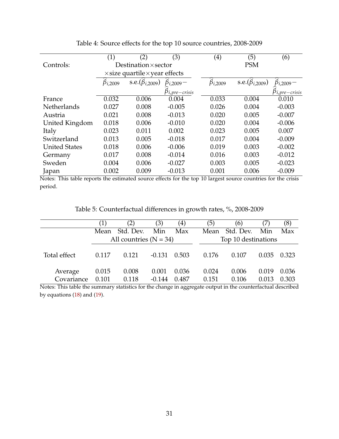<span id="page-31-0"></span>

|                      | (1)              | (2)                                          | (3)                    | $\left( 4\right)$ | (5)                           | (6)                      |
|----------------------|------------------|----------------------------------------------|------------------------|-------------------|-------------------------------|--------------------------|
| Controls:            |                  | Destination $\times$ sector                  |                        |                   | <b>PSM</b>                    |                          |
|                      |                  | $\times$ size quartile $\times$ year effects |                        |                   |                               |                          |
|                      | $\beta_{i,2009}$ | s.e. $(\hat{\beta}_{i,2009})$                | $\beta_{i,2009}$ –     | $\beta_{i,2009}$  | s.e. $(\hat{\beta}_{i,2009})$ | $\hat{\beta}_{i,2009}$ – |
|                      |                  |                                              | $\beta_{i,pre-crisis}$ |                   |                               | $p_{i,pre-crisis}$       |
| France               | 0.032            | 0.006                                        | 0.004                  | 0.033             | 0.004                         | 0.010                    |
| <b>Netherlands</b>   | 0.027            | 0.008                                        | $-0.005$               | 0.026             | 0.004                         | $-0.003$                 |
| Austria              | 0.021            | 0.008                                        | $-0.013$               | 0.020             | 0.005                         | $-0.007$                 |
| United Kingdom       | 0.018            | 0.006                                        | $-0.010$               | 0.020             | 0.004                         | $-0.006$                 |
| Italy                | 0.023            | 0.011                                        | 0.002                  | 0.023             | 0.005                         | 0.007                    |
| Switzerland          | 0.013            | 0.005                                        | $-0.018$               | 0.017             | 0.004                         | $-0.009$                 |
| <b>United States</b> | 0.018            | 0.006                                        | $-0.006$               | 0.019             | 0.003                         | $-0.002$                 |
| Germany              | 0.017            | 0.008                                        | $-0.014$               | 0.016             | 0.003                         | $-0.012$                 |
| Sweden               | 0.004            | 0.006                                        | $-0.027$               | 0.003             | 0.005                         | $-0.023$                 |
| Japan                | 0.002            | 0.009                                        | $-0.013$               | 0.001             | 0.006                         | $-0.009$                 |

Table 4: Source effects for the top 10 source countries, 2008-2009

Notes: This table reports the estimated source effects for the top 10 largest source countries for the crisis period.

Table 5: Counterfactual differences in growth rates, %, 2008-2009

<span id="page-31-1"></span>

|                       |                | (2)                      | (3)               | $\left( 4\right)$ | (5)            | (6)                 | (7)            | (8)            |
|-----------------------|----------------|--------------------------|-------------------|-------------------|----------------|---------------------|----------------|----------------|
|                       | Mean           | Std. Dev.                | Min               | Max               | Mean           | Std. Dev.           | Min            | Max            |
|                       |                | All countries $(N = 34)$ |                   |                   |                | Top 10 destinations |                |                |
| Total effect          | 0.117          | 0.121                    | $-0.131$          | 0.503             | 0.176          | 0.107               | 0.035          | 0.323          |
| Average<br>Covariance | 0.015<br>0.101 | 0.008<br>0.118           | 0.001<br>$-0.144$ | 0.036<br>0.487    | 0.024<br>0.151 | 0.006<br>0.106      | 0.019<br>0.013 | 0.036<br>0.303 |

Notes: This table the summary statistics for the change in aggregate output in the counterfactual described by equations [\(18\)](#page-22-1) and [\(19\)](#page-23-1).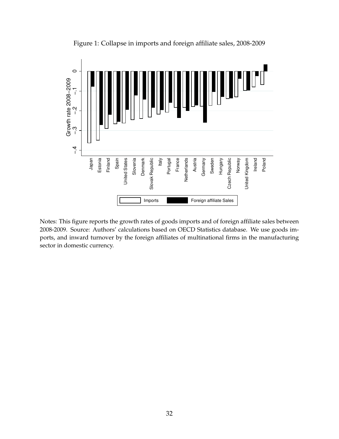<span id="page-32-0"></span>

Figure 1: Collapse in imports and foreign affiliate sales, 2008-2009

Notes: This figure reports the growth rates of goods imports and of foreign affiliate sales between 2008-2009. Source: Authors' calculations based on OECD Statistics database. We use goods imports, and inward turnover by the foreign affiliates of multinational firms in the manufacturing sector in domestic currency.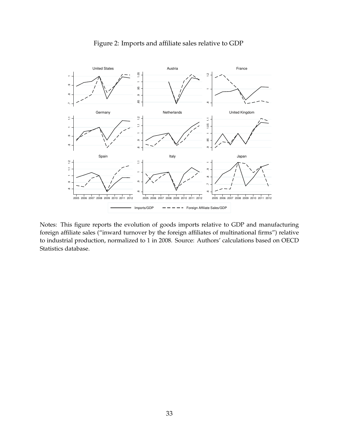<span id="page-33-0"></span>

### Figure 2: Imports and affiliate sales relative to GDP

Notes: This figure reports the evolution of goods imports relative to GDP and manufacturing foreign affiliate sales ("inward turnover by the foreign affiliates of multinational firms") relative to industrial production, normalized to 1 in 2008. Source: Authors' calculations based on OECD Statistics database.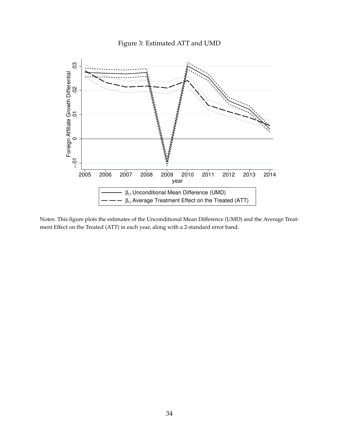<span id="page-34-0"></span>

Figure 3: Estimated ATT and UMD

Notes: This figure plots the estimates of the Unconditional Mean Difference (UMD) and the Average Treatment Effect on the Treated (ATT) in each year, along with a 2-standard error band.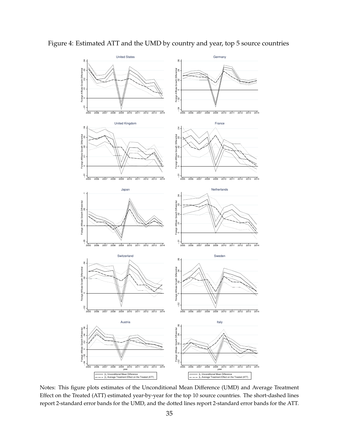

<span id="page-35-0"></span>Figure 4: Estimated ATT and the UMD by country and year, top 5 source countries

Notes: This figure plots estimates of the Unconditional Mean Difference (UMD) and Average Treatment Effect on the Treated (ATT) estimated year-by-year for the top 10 source countries. The short-dashed lines report 2-standard error bands for the UMD, and the dotted lines report 2-standard error bands for the ATT.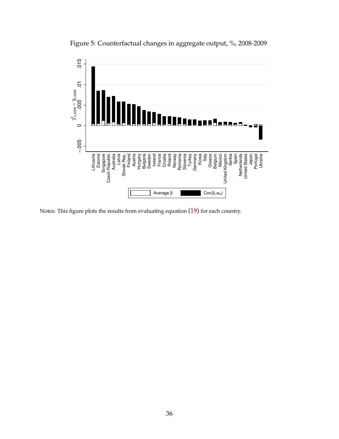

<span id="page-36-0"></span>Figure 5: Counterfactual changes in aggregate output, %, 2008-2009

Notes: This figure plots the results from evaluating equation [\(19\)](#page-23-1) for each country.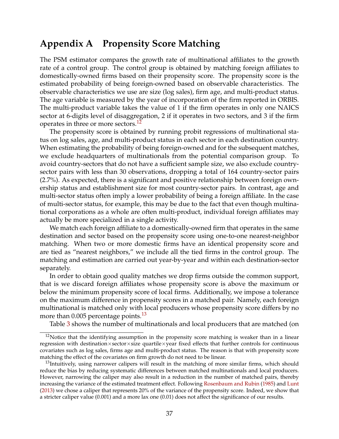# <span id="page-37-0"></span>**Appendix A Propensity Score Matching**

The PSM estimator compares the growth rate of multinational affiliates to the growth rate of a control group. The control group is obtained by matching foreign affiliates to domestically-owned firms based on their propensity score. The propensity score is the estimated probability of being foreign-owned based on observable characteristics. The observable characteristics we use are size (log sales), firm age, and multi-product status. The age variable is measured by the year of incorporation of the firm reported in ORBIS. The multi-product variable takes the value of 1 if the firm operates in only one NAICS sector at 6-digits level of disaggregation, 2 if it operates in two sectors, and 3 if the firm operates in three or more sectors.<sup>12</sup>

The propensity score is obtained by running probit regressions of multinational status on log sales, age, and multi-product status in each sector in each destination country. When estimating the probability of being foreign-owned and for the subsequent matches, we exclude headquarters of multinationals from the potential comparison group. To avoid country-sectors that do not have a sufficient sample size, we also exclude countrysector pairs with less than 30 observations, dropping a total of 164 country-sector pairs (2.7%). As expected, there is a significant and positive relationship between foreign ownership status and establishment size for most country-sector pairs. In contrast, age and multi-sector status often imply a lower probability of being a foreign affiliate. In the case of multi-sector status, for example, this may be due to the fact that even though multinational corporations as a whole are often multi-product, individual foreign affiliates may actually be more specialized in a single activity.

We match each foreign affiliate to a domestically-owned firm that operates in the same destination and sector based on the propensity score using one-to-one nearest-neighbor matching. When two or more domestic firms have an identical propensity score and are tied as "nearest neighbors," we include all the tied firms in the control group. The matching and estimation are carried out year-by-year and within each destination-sector separately.

In order to obtain good quality matches we drop firms outside the common support, that is we discard foreign affiliates whose propensity score is above the maximum or below the minimum propensity score of local firms. Additionally, we impose a tolerance on the maximum difference in propensity scores in a matched pair. Namely, each foreign multinational is matched only with local producers whose propensity score differs by no more than  $0.005$  percentage points.<sup>13</sup>

Table [3](#page-30-0) shows the number of multinationals and local producers that are matched (on

<span id="page-37-1"></span> $12$ Notice that the identifying assumption in the propensity score matching is weaker than in a linear regression with destination×sector×size quartile×year fixed effects that further controls for continuous covariates such as log sales, firms age and multi-product status. The reason is that with propensity score matching the effect of the covariates on firm growth do not need to be linear.

<span id="page-37-2"></span><sup>&</sup>lt;sup>13</sup>Intuitively, using narrower calipers will result in the matching of more similar firms, which should reduce the bias by reducing systematic differences between matched multinationals and local producers. However, narrowing the caliper may also result in a reduction in the number of matched pairs, thereby increasing the variance of the estimated treatment effect. Following [Rosenbaum and Rubin](#page-28-5) [\(1985\)](#page-28-5) and [Lunt](#page-28-6) [\(2013\)](#page-28-6) we chose a caliper that represents 20% of the variance of the propensity score. Indeed, we show that a stricter caliper value (0.001) and a more lax one (0.01) does not affect the significance of our results.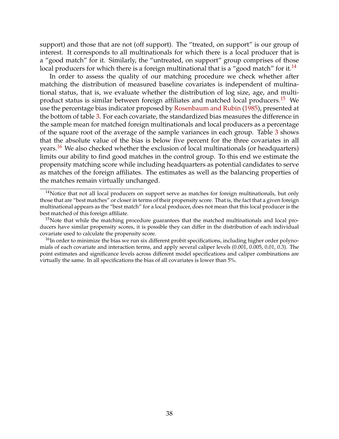support) and those that are not (off support). The "treated, on support" is our group of interest. It corresponds to all multinationals for which there is a local producer that is a "good match" for it. Similarly, the "untreated, on support" group comprises of those local producers for which there is a foreign multinational that is a "good match" for it.<sup>14</sup>

In order to assess the quality of our matching procedure we check whether after matching the distribution of measured baseline covariates is independent of multinational status, that is, we evaluate whether the distribution of log size, age, and multiproduct status is similar between foreign affiliates and matched local producers.[15](#page-38-1) We use the percentage bias indicator proposed by [Rosenbaum and Rubin](#page-28-5) [\(1985\)](#page-28-5), presented at the bottom of table [3.](#page-30-0) For each covariate, the standardized bias measures the difference in the sample mean for matched foreign multinationals and local producers as a percentage of the square root of the average of the sample variances in each group. Table [3](#page-30-0) shows that the absolute value of the bias is below five percent for the three covariates in all years.<sup>16</sup> We also checked whether the exclusion of local multinationals (or headquarters) limits our ability to find good matches in the control group. To this end we estimate the propensity matching score while including headquarters as potential candidates to serve as matches of the foreign affiliates. The estimates as well as the balancing properties of the matches remain virtually unchanged.

<span id="page-38-0"></span> $14$ Notice that not all local producers on support serve as matches for foreign multinationals, but only those that are "best matches" or closer in terms of their propensity score. That is, the fact that a given foreign multinational appears as the "best match" for a local producer, does not mean that this local producer is the best matched of this foreign affiliate.

<span id="page-38-1"></span> $15$ Note that while the matching procedure guarantees that the matched multinationals and local producers have similar propensity scores, it is possible they can differ in the distribution of each individual covariate used to calculate the propensity score.

<span id="page-38-2"></span><sup>&</sup>lt;sup>16</sup>In order to minimize the bias we run six different probit specifications, including higher order polynomials of each covariate and interaction terms, and apply several caliper levels (0.001, 0.005, 0.01, 0.3). The point estimates and significance levels across different model specifications and caliper combinations are virtually the same. In all specifications the bias of all covariates is lower than 5%.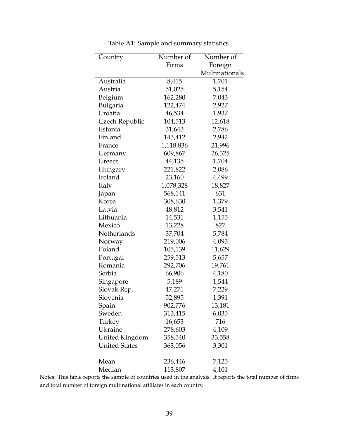<span id="page-39-0"></span>

| Country              | Number of | Number of      |
|----------------------|-----------|----------------|
|                      | Firms     | Foreign        |
|                      |           | Multinationals |
| Australia            | 8,415     | 1,701          |
| Austria              | 51,025    | 5,154          |
| Belgium              | 162,280   | 7,043          |
| Bulgaria             | 122,474   | 2,927          |
| Croatia              | 46,534    | 1,937          |
| Czech Republic       | 104,513   | 12,618         |
| Estonia              | 31,643    | 2,786          |
| Finland              | 143,412   | 2,942          |
| France               | 1,118,836 | 21,996         |
| Germany              | 609,867   | 26,325         |
| Greece               | 44,135    | 1,704          |
| Hungary              | 221,822   | 2,086          |
| Ireland              | 23,160    | 4,499          |
| Italy                | 1,078,328 | 18,827         |
| Japan                | 568,141   | 631            |
| Korea                | 308,630   | 1,379          |
| Latvia               | 48,812    | 3,541          |
| Lithuania            | 14,531    | 1,155          |
| Mexico               | 13,228    | 827            |
| Netherlands          | 37,704    | 5,784          |
| Norway               | 219,006   | 4,093          |
| Poland               | 105,139   | 11,629         |
| Portugal             | 259,513   | 5,657          |
| Romania              | 292,706   | 19,761         |
| Serbia               | 66,906    | 4,180          |
| Singapore            | 5,189     | 1,544          |
| Slovak Rep.          | 47,271    | 7,229          |
| Slovenia             | 52,895    | 1,391          |
| Spain                | 902,776   | 13,181         |
| Sweden               | 313,415   | 6,035          |
| Turkey               | 16,653    | 716            |
| Ukraine              | 278,603   | 4,109          |
| United Kingdom       | 358,540   | 33,558         |
| <b>United States</b> | 363,056   | 3,301          |
| Mean                 | 236,446   | 7,125          |
| Median               | 113,807   | 4,101          |

Table A1: Sample and summary statistics

Notes: This table reports the sample of countries used in the analysis. It reports the total number of firms and total number of foreign multinational affiliates in each country.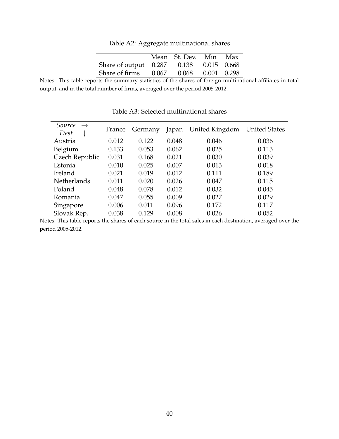Table A2: Aggregate multinational shares

|                                         | Mean St. Dev. Min Max |  |
|-----------------------------------------|-----------------------|--|
| Share of output 0.287 0.138 0.015 0.668 |                       |  |
| Share of firms 0.067 0.068 0.001 0.298  |                       |  |

<span id="page-40-0"></span>Notes: This table reports the summary statistics of the shares of foreign multinational affiliates in total output, and in the total number of firms, averaged over the period 2005-2012.

<span id="page-40-1"></span>

| Source<br>$\rightarrow$<br>Dest<br>↓ | France | Germany | Japan | United Kingdom | <b>United States</b> |
|--------------------------------------|--------|---------|-------|----------------|----------------------|
| Austria                              | 0.012  | 0.122   | 0.048 | 0.046          | 0.036                |
| Belgium                              | 0.133  | 0.053   | 0.062 | 0.025          | 0.113                |
| Czech Republic                       | 0.031  | 0.168   | 0.021 | 0.030          | 0.039                |
| Estonia                              | 0.010  | 0.025   | 0.007 | 0.013          | 0.018                |
| Ireland                              | 0.021  | 0.019   | 0.012 | 0.111          | 0.189                |
| Netherlands                          | 0.011  | 0.020   | 0.026 | 0.047          | 0.115                |
| Poland                               | 0.048  | 0.078   | 0.012 | 0.032          | 0.045                |
| Romania                              | 0.047  | 0.055   | 0.009 | 0.027          | 0.029                |
| Singapore                            | 0.006  | 0.011   | 0.096 | 0.172          | 0.117                |
| Slovak Rep.                          | 0.038  | 0.129   | 0.008 | 0.026          | 0.052                |

Table A3: Selected multinational shares

Notes: This table reports the shares of each source in the total sales in each destination, averaged over the period 2005-2012.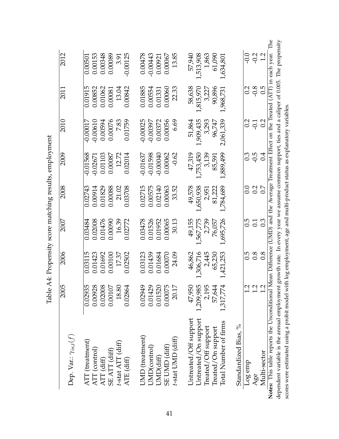<span id="page-41-0"></span>

|                                                | 2005          | 2006      | 2007             | 2008         | 2009             | 2010                                                                                      | 2011      | 2012       |
|------------------------------------------------|---------------|-----------|------------------|--------------|------------------|-------------------------------------------------------------------------------------------|-----------|------------|
| Dep. Var.: $\gamma_{in,t}(f)$                  |               |           |                  |              |                  |                                                                                           |           |            |
| ATT (treatment)<br>ATT (control)<br>ATT (diff) | 0.02935       | 0.03115   | 0.03484          | 0.02743      | $-0.01568$       | $-0.00017$                                                                                | 0.01915   | 0.00501    |
|                                                | 0.00928       | 0.01423   | 0.02008          | 0.00914      | $-0.02671$       | $-0.00610$                                                                                | 0.00852   | 0.00153    |
|                                                | 0.02008       | 0.01692   | 0.01476          | 0.01829      | 0.01103          | 0.00594                                                                                   | 0.01062   | 0.00348    |
| SE ATT (diff)                                  | 0.00107       | 0.00100   | 0.00090          | 0.00088      | 0.00087          | 0.00076                                                                                   | 0.00081   | 0.00089    |
| $t$ -stat ATT (diff)                           | 18.80         | 17.37     | 16.39            | 21.02        | 12.72            | 7.83                                                                                      | 13.04     | 3.91       |
| ATE (diff)                                     | 0.02864       | 0.02502   | 0.02772          | 0.03708      | 0.02014          | 0.01759                                                                                   | 0.00842   | $-0.00125$ |
| UMD (treatment)                                | 0.02949       | 0.03123   | 0.03478          | 0.02715      | $-0.01637$       | $-0.00025$                                                                                | 0.01885   | 0.00478    |
| JMD(control)                                   | 0.01429       | 0.01439   | 0.01526          | 0.00575      | $-0.01598$       | $-0.00397$                                                                                | 0.00554   | -0.00443   |
| UMD(diff)                                      | 0.01520       | 0.01684   | 0.01952          | 0.02140      | -0.00040         | 0.00372                                                                                   | 0.01331   | 0.00921    |
| SE UMD (diff)                                  | 0.00075       | 0.00070   | 0.00065          | 0.00063      | 0.00062          | 0.00056                                                                                   | 0.00060   | 0.00067    |
| t-stat UMD (diff)                              | 20.17         | 24.09     | 30.13            | 33.52        | $-0.62$          | 6.69                                                                                      | 22.33     | 13.85      |
|                                                |               |           |                  |              |                  |                                                                                           |           |            |
| Untreated/Off support                          | 47,950        | 46,862    | 49,155           | 49,578       | 47,319           | 51,864                                                                                    | 58,638    | 57,940     |
| Untreated/On support                           | 1,209,985     | 1,306,716 | 1,567,775        | 1,650,938    | 1,753,450        | 1,909,435                                                                                 | 1,815,970 | 1,513,908  |
| Treated/Off support                            | 2,195         | 2,445     | 2,739            | 2,951        | 3,139            | 3,293                                                                                     | 3,227     | 1,863      |
| Treated/On support                             | 57,644        | 65,230    | 76,057           | 81,222       | 85,591           | 96,747                                                                                    | 90,896    | 61,090     |
| Total Number of firms                          | 1,317,774     | 1,421,253 | 1,695,726        | 1,784,689    | 1,889,499        | 2,061,339                                                                                 | 1,968,731 | 1,634,801  |
| Standardized Bias, %                           |               |           |                  |              |                  |                                                                                           |           |            |
| Log emp                                        |               | С.)       | 6.5              | $_{\rm 0.0}$ | $0.\overline{3}$ | 0.2                                                                                       | $\rm{C}$  | $-0.0$     |
| Age                                            | $\frac{1}{1}$ | 0.8       | $\overline{0}$ : | 0.2          | $-0.5$           | $-0.1$                                                                                    | $-0.8$    | $-0.2$     |
| Multi-sector                                   | 1.2           | 0.8       | 0.3              | 0.7          | 0.4              | 0.2                                                                                       | 0.5       | 1.2        |
| Notes: This table reports the Unconditional 1  |               |           |                  |              |                  | Mean Difference (UMD) and the Average Treatment Effect on the Treated (ATT) in each year. |           | The        |

 $\overline{a}$  $\frac{1}{2}$  $\ddot{\ddot{\cdot}}$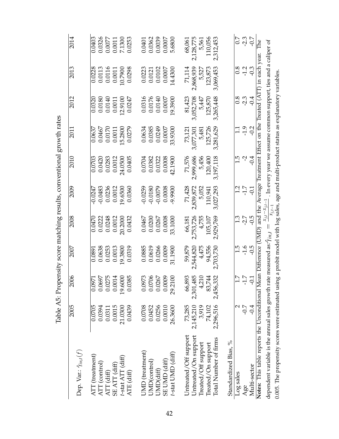<span id="page-42-0"></span>

|                                                                                                                                         |           |                                                                                                      |                           |                                           |                                    |                      | Table A5: Propensity score matching results, conventional growth rates |                  |           |                    |
|-----------------------------------------------------------------------------------------------------------------------------------------|-----------|------------------------------------------------------------------------------------------------------|---------------------------|-------------------------------------------|------------------------------------|----------------------|------------------------------------------------------------------------|------------------|-----------|--------------------|
| Dep. Var.: $\hat{\gamma}_{in,t}(f)$                                                                                                     | 2005      | 2006                                                                                                 | 2007                      | 2008                                      | 2009                               | 2010                 | 2011                                                                   | 2012             | 2013      | 2014               |
| ATT (treatment)<br>ATT (control)                                                                                                        | 0.0705    | $\begin{array}{r} 0.0971 \\ 0.0697 \\ 0.0275 \\ 0.0275 \\ 0.0014 \\ 0.000 \\ 19.6000 \\ \end{array}$ | $0.\overline{0891}$       | 0.0470                                    | $-0.0247$                          | 0.0703               | 0.0637                                                                 | 0.0320           | 0.0228    | 0.0403             |
|                                                                                                                                         | 0.0394    |                                                                                                      | 0.0638                    | 0.0222                                    | $-0.0483$                          | 0.0420               | 0.0467                                                                 | 0.0180           | 0.0113    | 0.0326             |
| ATT (diff)                                                                                                                              | 0.0311    |                                                                                                      | 0.0253                    | 0.0248                                    | 0.0236                             | 0.0283               | 0.0170                                                                 | 0.0140           | 0.0116    | 0.0077             |
| SE ATT (diff)                                                                                                                           | 0.0015    |                                                                                                      | 0.0013                    | 0.0012                                    | 0.0012                             | 0.0012               | 0.0011                                                                 | 0.0011           | 0.0011    | 0.0011             |
| t-stat ATT (diff)                                                                                                                       | 21.0300   |                                                                                                      | 19.3800                   | 20.2000                                   | 19.6500                            | 24.0500              | 15.2800                                                                | 12.9100          | 10.7900   | 7.1300             |
| ATE (diff)                                                                                                                              | 0.0439    |                                                                                                      | 0.0319                    | 0.0432                                    | 0.0360                             | 0.0405               | 0.0279                                                                 | 0.0247           | 0.0298    | 0.0253             |
| UMD (treatment)                                                                                                                         | 0.0708    | 0.0973<br>0.0706                                                                                     | 0.0885                    | 0.0467                                    | $-0.0259$                          | 0.0704               | 0.0634                                                                 | 0.0316           | 0.0223    | 0.0401             |
| UMD(control)                                                                                                                            | 0.0452    |                                                                                                      | 0.0619                    | 0.0200                                    | $-0.0180$                          | 0.0382               | 0.0385                                                                 | 0.0176           | 0.0121    | 0.0362             |
| UMD(diff)                                                                                                                               | 0.0256    | $0.0267$<br>$0.0009$                                                                                 | 0.0266                    | 0.0267                                    | $-0.0079$                          | 0.0322               | 0.0249                                                                 | 0.0140           | 0.0102    | 0.0039             |
| SE UMD (diff)                                                                                                                           | 0.0010    |                                                                                                      | 0.0009                    | 0.0008                                    | 0.0008                             | 0.0008               | 0.0007                                                                 | 0.0007           | 0.0007    | 0.0007             |
| t-stat UMD (diff)                                                                                                                       | 26.3600   | 29.2100                                                                                              | 31.1900                   | 33.1000                                   | -9.9900                            | 42.1900              | 33.9300                                                                | 19.3900          | 14.4300   | 5.6800             |
| Untreated/Off support                                                                                                                   | 73,285    |                                                                                                      | 59,879                    | 66,181                                    |                                    | 71,576               |                                                                        | 81,423           | 71,114    | 68,061             |
| Untreated/On support                                                                                                                    | 2,145,210 | $\begin{array}{c} 66,893 \\ 2,301,485 \\ 4,210 \\ 83,744 \end{array}$                                | 2,544,820                 | 2,753,726                                 | 71,428<br>2,839,872                | 2,999,686            | 73,121<br>3,077,301                                                    | 3,052,708        | 2,868,939 | 2,128,775          |
| Treated/Off support                                                                                                                     | 3,919     |                                                                                                      | 4,475                     | 4,755                                     | 5,052                              | 5,456                | 5,481                                                                  | 5,447            | 5,527     | 5,561              |
| Treated/On support                                                                                                                      | 74,102    |                                                                                                      | 94,556                    | 105,107                                   | 110,941                            | 120,400              | 125,726                                                                | 125,870          | 123,873   | 110,056            |
| Total Number of firms                                                                                                                   | 2,296,516 | 2,456,332                                                                                            | 2,703,730                 | 2,929,769                                 | 3,027,293                          | 3,197,118            | 3,281,629                                                              | 3,265,448        | 3,069,453 | 2,312,453          |
| Standardized Bias, %                                                                                                                    |           |                                                                                                      |                           |                                           |                                    |                      |                                                                        |                  |           |                    |
| Log sales                                                                                                                               | N         |                                                                                                      |                           |                                           |                                    | $\ddot{1}$           |                                                                        |                  | 0.8       |                    |
| Age                                                                                                                                     | $-0.7$    | $\frac{7}{17}$<br>7.7<br>9.1                                                                         | $1.5$<br>$-1.6$<br>$-0.5$ | $\frac{3}{1}$ $\frac{5}{1}$ $\frac{5}{1}$ | $\frac{12}{1.7}$                   | $-2$<br>$-1$<br>$-1$ | 1.92                                                                   | 8 9 9 9<br>8 9 9 | $-1.2$    | 5 9 9 9<br>2 9 9 0 |
| Multi-sector                                                                                                                            | $-0.4$    |                                                                                                      |                           |                                           |                                    |                      |                                                                        |                  |           |                    |
| Notes: This table reports the Unconditional Mean Difference (UMD) and the Average Treatment Effect on the Treated (ATT) in each year.   |           |                                                                                                      |                           |                                           |                                    |                      |                                                                        |                  |           | The                |
| dependent variable is the annual sales growth rate measured as: $\hat{\gamma}_{int,t}$                                                  |           |                                                                                                      |                           | $\parallel$                               | $x_{j,t}-x_{j,t-1}$<br>$x_{i,t-1}$ |                      | . In every year we assume common support, ties and a caliper of        |                  |           |                    |
| 0.005. The propensity scores were estimated using a probit model with log sales, age and multi-product status as explanatory variables. |           |                                                                                                      |                           |                                           |                                    |                      |                                                                        |                  |           |                    |

42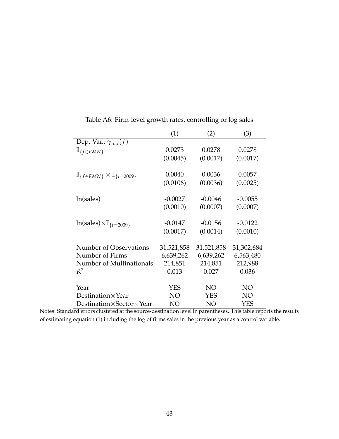<span id="page-43-0"></span>

|                                                    | (1)        | (2)        | (3)        |
|----------------------------------------------------|------------|------------|------------|
| Dep. Var.: $\gamma_{in,t}(f)$                      |            |            |            |
| $\mathbb{I}_{\{f\in FMN\}}$                        | 0.0273     | 0.0278     | 0.0278     |
|                                                    | (0.0045)   | (0.0017)   | (0.0017)   |
| $\mathbb{I}_{f\in FMN} \times \mathbb{I}_{t=2009}$ | 0.0040     | 0.0036     | 0.0057     |
|                                                    | (0.0106)   | (0.0036)   | (0.0025)   |
| ln(sales)                                          | $-0.0027$  | $-0.0046$  | $-0.0055$  |
|                                                    | (0.0010)   | (0.0007)   | (0.0007)   |
| $ln(sales) \times \mathbb{I}_{\{t=2009\}}$         | $-0.0147$  | $-0.0156$  | $-0.0122$  |
|                                                    | (0.0017)   | (0.0014)   | (0.0010)   |
| Number of Observations                             | 31,521,858 | 31,521,858 | 31,302,684 |
| Number of Firms                                    | 6,639,262  | 6,639,262  | 6,563,480  |
| Number of Multinationals                           | 214,851    | 214,851    | 212,988    |
| $R^2$                                              | 0.013      | 0.027      | 0.036      |
| Year                                               | <b>YES</b> | NO         | NO         |
| Destination $\times$ Year                          | NO         | YES        | NO         |
| Destination $\times$ Sector $\times$ Year          | NO         | NO         | YES        |

Table A6: Firm-level growth rates, controlling or log sales

Notes: Standard errors clustered at the source-destination level in parentheses. This table reports the results of estimating equation [\(1\)](#page-10-1) including the log of firms sales in the previous year as a control variable.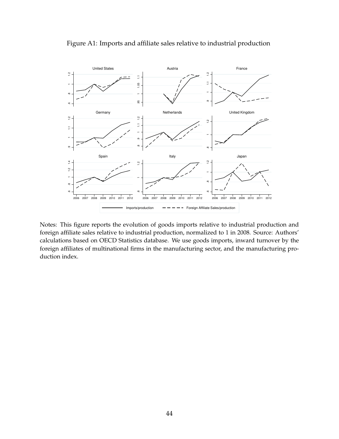

<span id="page-44-0"></span>Figure A1: Imports and affiliate sales relative to industrial production

Notes: This figure reports the evolution of goods imports relative to industrial production and foreign affiliate sales relative to industrial production, normalized to 1 in 2008. Source: Authors' calculations based on OECD Statistics database. We use goods imports, inward turnover by the foreign affiliates of multinational firms in the manufacturing sector, and the manufacturing production index.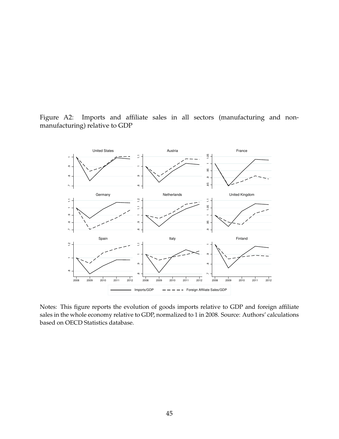

<span id="page-45-0"></span>Figure A2: Imports and affiliate sales in all sectors (manufacturing and nonmanufacturing) relative to GDP

Notes: This figure reports the evolution of goods imports relative to GDP and foreign affiliate sales in the whole economy relative to GDP, normalized to 1 in 2008. Source: Authors' calculations based on OECD Statistics database.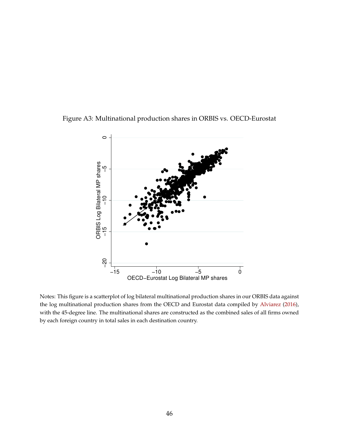<span id="page-46-0"></span>



Notes: This figure is a scatterplot of log bilateral multinational production shares in our ORBIS data against the log multinational production shares from the OECD and Eurostat data compiled by [Alviarez](#page-26-5) [\(2016\)](#page-26-5), with the 45-degree line. The multinational shares are constructed as the combined sales of all firms owned by each foreign country in total sales in each destination country.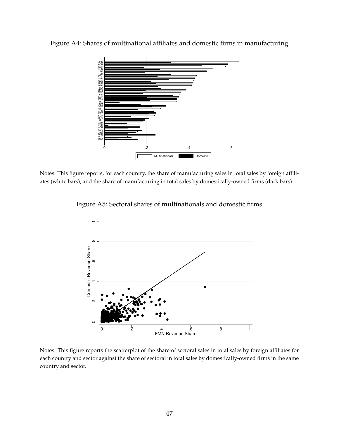<span id="page-47-0"></span>Figure A4: Shares of multinational affiliates and domestic firms in manufacturing



<span id="page-47-1"></span>Notes: This figure reports, for each country, the share of manufacturing sales in total sales by foreign affiliates (white bars), and the share of manufacturing in total sales by domestically-owned firms (dark bars).

Figure A5: Sectoral shares of multinationals and domestic firms



Notes: This figure reports the scatterplot of the share of sectoral sales in total sales by foreign affiliates for each country and sector against the share of sectoral in total sales by domestically-owned firms in the same country and sector.